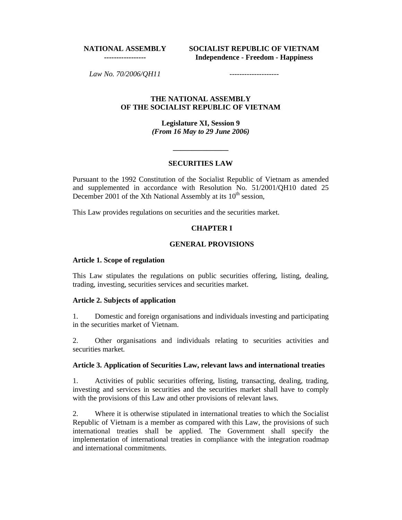#### **NATIONAL ASSEMBLY -----------------**

**SOCIALIST REPUBLIC OF VIETNAM Independence - Freedom - Happiness**

*Law No. 70/2006/QH11* 

#### **THE NATIONAL ASSEMBLY OF THE SOCIALIST REPUBLIC OF VIETNAM**

**Legislature XI, Session 9**  *(From 16 May to 29 June 2006)*

#### **SECURITIES LAW**

**\_\_\_\_\_\_\_\_\_\_\_\_\_\_\_** 

Pursuant to the 1992 Constitution of the Socialist Republic of Vietnam as amended and supplemented in accordance with Resolution No. 51/2001/QH10 dated 25 December 2001 of the Xth National Assembly at its 10<sup>th</sup> session,

This Law provides regulations on securities and the securities market.

### **CHAPTER I**

#### **GENERAL PROVISIONS**

#### **Article 1. Scope of regulation**

This Law stipulates the regulations on public securities offering, listing, dealing, trading, investing, securities services and securities market.

#### **Article 2. Subjects of application**

1. Domestic and foreign organisations and individuals investing and participating in the securities market of Vietnam.

2. Other organisations and individuals relating to securities activities and securities market.

#### **Article 3. Application of Securities Law, relevant laws and international treaties**

1. Activities of public securities offering, listing, transacting, dealing, trading, investing and services in securities and the securities market shall have to comply with the provisions of this Law and other provisions of relevant laws.

2. Where it is otherwise stipulated in international treaties to which the Socialist Republic of Vietnam is a member as compared with this Law, the provisions of such international treaties shall be applied. The Government shall specify the implementation of international treaties in compliance with the integration roadmap and international commitments.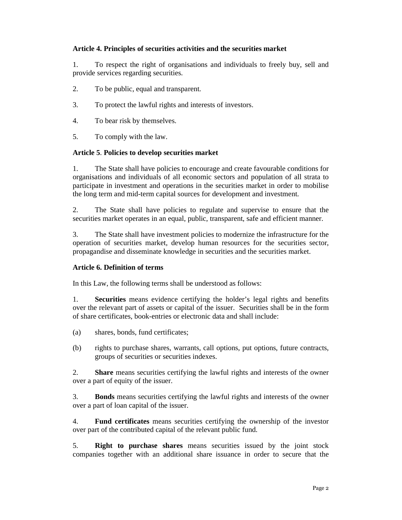### **Article 4. Principles of securities activities and the securities market**

1. To respect the right of organisations and individuals to freely buy, sell and provide services regarding securities.

- 2. To be public, equal and transparent.
- 3. To protect the lawful rights and interests of investors.
- 4. To bear risk by themselves.
- 5. To comply with the law.

### **Article 5**. **Policies to develop securities market**

1. The State shall have policies to encourage and create favourable conditions for organisations and individuals of all economic sectors and population of all strata to participate in investment and operations in the securities market in order to mobilise the long term and mid-term capital sources for development and investment.

2. The State shall have policies to regulate and supervise to ensure that the securities market operates in an equal, public, transparent, safe and efficient manner.

3. The State shall have investment policies to modernize the infrastructure for the operation of securities market, develop human resources for the securities sector, propagandise and disseminate knowledge in securities and the securities market.

### **Article 6. Definition of terms**

In this Law, the following terms shall be understood as follows:

1. **Securities** means evidence certifying the holder's legal rights and benefits over the relevant part of assets or capital of the issuer. Securities shall be in the form of share certificates, book-entries or electronic data and shall include:

- (a) shares, bonds, fund certificates;
- (b) rights to purchase shares, warrants, call options, put options, future contracts, groups of securities or securities indexes.

2. **Share** means securities certifying the lawful rights and interests of the owner over a part of equity of the issuer.

3. **Bonds** means securities certifying the lawful rights and interests of the owner over a part of loan capital of the issuer.

4. **Fund certificates** means securities certifying the ownership of the investor over part of the contributed capital of the relevant public fund.

5. **Right to purchase shares** means securities issued by the joint stock companies together with an additional share issuance in order to secure that the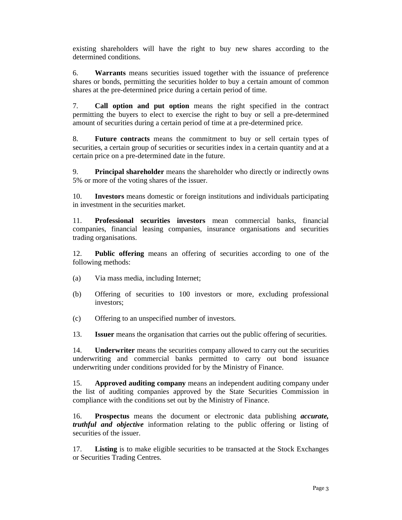existing shareholders will have the right to buy new shares according to the determined conditions.

6. **Warrants** means securities issued together with the issuance of preference shares or bonds, permitting the securities holder to buy a certain amount of common shares at the pre-determined price during a certain period of time.

7. **Call option and put option** means the right specified in the contract permitting the buyers to elect to exercise the right to buy or sell a pre-determined amount of securities during a certain period of time at a pre-determined price.

8. **Future contracts** means the commitment to buy or sell certain types of securities, a certain group of securities or securities index in a certain quantity and at a certain price on a pre-determined date in the future.

9. **Principal shareholder** means the shareholder who directly or indirectly owns 5% or more of the voting shares of the issuer.

10. **Investors** means domestic or foreign institutions and individuals participating in investment in the securities market.

11. **Professional securities investors** mean commercial banks, financial companies, financial leasing companies, insurance organisations and securities trading organisations.

12. **Public offering** means an offering of securities according to one of the following methods:

- (a) Via mass media, including Internet;
- (b) Offering of securities to 100 investors or more, excluding professional investors;
- (c) Offering to an unspecified number of investors.

13. **Issuer** means the organisation that carries out the public offering of securities.

14. **Underwriter** means the securities company allowed to carry out the securities underwriting and commercial banks permitted to carry out bond issuance underwriting under conditions provided for by the Ministry of Finance.

15. **Approved auditing company** means an independent auditing company under the list of auditing companies approved by the State Securities Commission in compliance with the conditions set out by the Ministry of Finance.

16. **Prospectus** means the document or electronic data publishing *accurate, truthful and objective* information relating to the public offering or listing of securities of the issuer.

17. **Listing** is to make eligible securities to be transacted at the Stock Exchanges or Securities Trading Centres.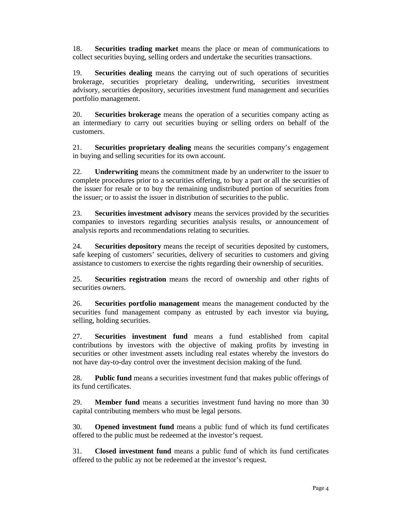18. **Securities trading market** means the place or mean of communications to collect securities buying, selling orders and undertake the securities transactions.

19. **Securities dealing** means the carrying out of such operations of securities brokerage, securities proprietary dealing, underwriting, securities investment advisory, securities depository, securities investment fund management and securities portfolio management.

20. **Securities brokerage** means the operation of a securities company acting as an intermediary to carry out securities buying or selling orders on behalf of the customers.

21. **Securities proprietary dealing** means the securities company's engagement in buying and selling securities for its own account.

22. **Underwriting** means the commitment made by an underwriter to the issuer to complete procedures prior to a securities offering, to buy a part or all the securities of the issuer for resale or to buy the remaining undistributed portion of securities from the issuer; or to assist the issuer in distribution of securities to the public.

23. **Securities investment advisory** means the services provided by the securities companies to investors regarding securities analysis results, or announcement of analysis reports and recommendations relating to securities.

24. **Securities depository** means the receipt of securities deposited by customers, safe keeping of customers' securities, delivery of securities to customers and giving assistance to customers to exercise the rights regarding their ownership of securities.

25. **Securities registration** means the record of ownership and other rights of securities owners.

26. **Securities portfolio management** means the management conducted by the securities fund management company as entrusted by each investor via buying, selling, holding securities.

27. **Securities investment fund** means a fund established from capital contributions by investors with the objective of making profits by investing in securities or other investment assets including real estates whereby the investors do not have day-to-day control over the investment decision making of the fund.

28. **Public fund** means a securities investment fund that makes public offerings of its fund certificates.

29. **Member fund** means a securities investment fund having no more than 30 capital contributing members who must be legal persons.

30. **Opened investment fund** means a public fund of which its fund certificates offered to the public must be redeemed at the investor's request.

31. **Closed investment fund** means a public fund of which its fund certificates offered to the public ay not be redeemed at the investor's request.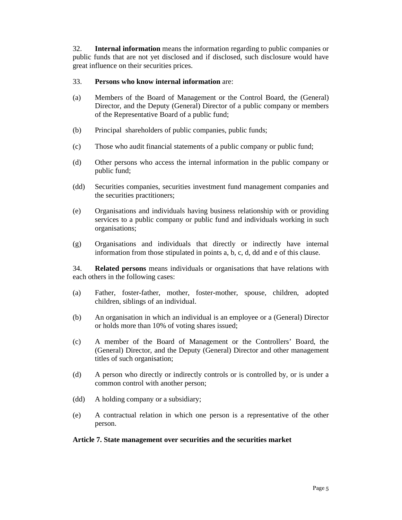32. **Internal information** means the information regarding to public companies or public funds that are not yet disclosed and if disclosed, such disclosure would have great influence on their securities prices.

### 33. **Persons who know internal information** are:

- (a) Members of the Board of Management or the Control Board, the (General) Director, and the Deputy (General) Director of a public company or members of the Representative Board of a public fund;
- (b) Principal shareholders of public companies, public funds;
- (c) Those who audit financial statements of a public company or public fund;
- (d) Other persons who access the internal information in the public company or public fund;
- (dd) Securities companies, securities investment fund management companies and the securities practitioners;
- (e) Organisations and individuals having business relationship with or providing services to a public company or public fund and individuals working in such organisations;
- (g) Organisations and individuals that directly or indirectly have internal information from those stipulated in points a, b, c, d, dd and e of this clause.

34. **Related persons** means individuals or organisations that have relations with each others in the following cases:

- (a) Father, foster-father, mother, foster-mother, spouse, children, adopted children, siblings of an individual.
- (b) An organisation in which an individual is an employee or a (General) Director or holds more than 10% of voting shares issued;
- (c) A member of the Board of Management or the Controllers' Board, the (General) Director, and the Deputy (General) Director and other management titles of such organisation;
- (d) A person who directly or indirectly controls or is controlled by, or is under a common control with another person;
- (dd) A holding company or a subsidiary;
- (e) A contractual relation in which one person is a representative of the other person.

### **Article 7. State management over securities and the securities market**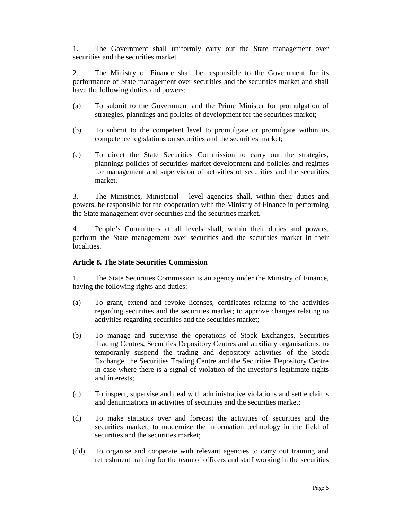1. The Government shall uniformly carry out the State management over securities and the securities market.

2. The Ministry of Finance shall be responsible to the Government for its performance of State management over securities and the securities market and shall have the following duties and powers:

- (a) To submit to the Government and the Prime Minister for promulgation of strategies, plannings and policies of development for the securities market;
- (b) To submit to the competent level to promulgate or promulgate within its competence legislations on securities and the securities market;
- (c) To direct the State Securities Commission to carry out the strategies, plannings policies of securities market development and policies and regimes for management and supervision of activities of securities and the securities market.

3. The Ministries, Ministerial - level agencies shall, within their duties and powers, be responsible for the cooperation with the Ministry of Finance in performing the State management over securities and the securities market.

4. People's Committees at all levels shall, within their duties and powers, perform the State management over securities and the securities market in their localities.

### **Article 8. The State Securities Commission**

1. The State Securities Commission is an agency under the Ministry of Finance, having the following rights and duties:

- (a) To grant, extend and revoke licenses, certificates relating to the activities regarding securities and the securities market; to approve changes relating to activities regarding securities and the securities market;
- (b) To manage and supervise the operations of Stock Exchanges, Securities Trading Centres, Securities Depository Centres and auxiliary organisations; to temporarily suspend the trading and depository activities of the Stock Exchange, the Securities Trading Centre and the Securities Depository Centre in case where there is a signal of violation of the investor's legitimate rights and interests;
- (c) To inspect, supervise and deal with administrative violations and settle claims and denunciations in activities of securities and the securities market;
- (d) To make statistics over and forecast the activities of securities and the securities market; to modernize the information technology in the field of securities and the securities market;
- (dd) To organise and cooperate with relevant agencies to carry out training and refreshment training for the team of officers and staff working in the securities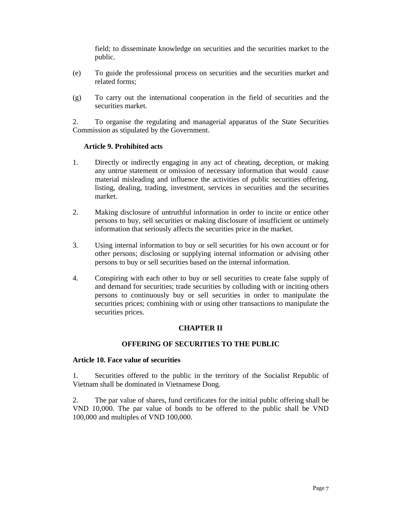field; to disseminate knowledge on securities and the securities market to the public.

- (e) To guide the professional process on securities and the securities market and related forms;
- (g) To carry out the international cooperation in the field of securities and the securities market.

2. To organise the regulating and managerial apparatus of the State Securities Commission as stipulated by the Government.

### **Article 9. Prohibited acts**

- 1. Directly or indirectly engaging in any act of cheating, deception, or making any untrue statement or omission of necessary information that would cause material misleading and influence the activities of public securities offering, listing, dealing, trading, investment, services in securities and the securities market.
- 2. Making disclosure of untruthful information in order to incite or entice other persons to buy, sell securities or making disclosure of insufficient or untimely information that seriously affects the securities price in the market.
- 3. Using internal information to buy or sell securities for his own account or for other persons; disclosing or supplying internal information or advising other persons to buy or sell securities based on the internal information.
- 4. Conspiring with each other to buy or sell securities to create false supply of and demand for securities; trade securities by colluding with or inciting others persons to continuously buy or sell securities in order to manipulate the securities prices; combining with or using other transactions to manipulate the securities prices.

### **CHAPTER II**

### **OFFERING OF SECURITIES TO THE PUBLIC**

#### **Article 10. Face value of securities**

1. Securities offered to the public in the territory of the Socialist Republic of Vietnam shall be dominated in Vietnamese Dong.

2. The par value of shares, fund certificates for the initial public offering shall be VND 10,000. The par value of bonds to be offered to the public shall be VND 100,000 and multiples of VND 100,000.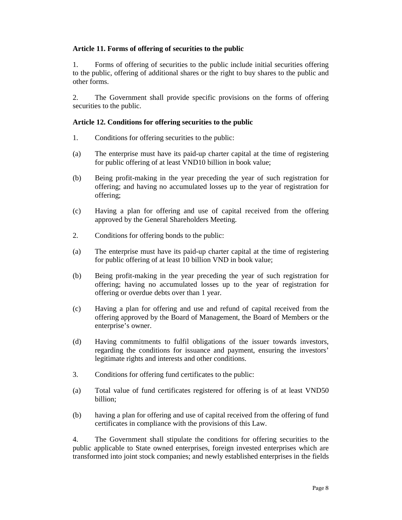## **Article 11. Forms of offering of securities to the public**

1. Forms of offering of securities to the public include initial securities offering to the public, offering of additional shares or the right to buy shares to the public and other forms.

2. The Government shall provide specific provisions on the forms of offering securities to the public.

### **Article 12. Conditions for offering securities to the public**

- 1. Conditions for offering securities to the public:
- (a) The enterprise must have its paid-up charter capital at the time of registering for public offering of at least VND10 billion in book value;
- (b) Being profit-making in the year preceding the year of such registration for offering; and having no accumulated losses up to the year of registration for offering;
- (c) Having a plan for offering and use of capital received from the offering approved by the General Shareholders Meeting.
- 2. Conditions for offering bonds to the public:
- (a) The enterprise must have its paid-up charter capital at the time of registering for public offering of at least 10 billion VND in book value;
- (b) Being profit-making in the year preceding the year of such registration for offering; having no accumulated losses up to the year of registration for offering or overdue debts over than 1 year.
- (c) Having a plan for offering and use and refund of capital received from the offering approved by the Board of Management, the Board of Members or the enterprise's owner.
- (d) Having commitments to fulfil obligations of the issuer towards investors, regarding the conditions for issuance and payment, ensuring the investors' legitimate rights and interests and other conditions.
- 3. Conditions for offering fund certificates to the public:
- (a) Total value of fund certificates registered for offering is of at least VND50 billion;
- (b) having a plan for offering and use of capital received from the offering of fund certificates in compliance with the provisions of this Law.

4. The Government shall stipulate the conditions for offering securities to the public applicable to State owned enterprises, foreign invested enterprises which are transformed into joint stock companies; and newly established enterprises in the fields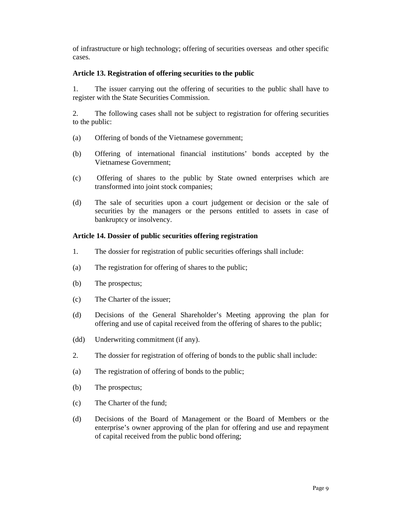of infrastructure or high technology; offering of securities overseas and other specific cases.

### **Article 13. Registration of offering securities to the public**

1. The issuer carrying out the offering of securities to the public shall have to register with the State Securities Commission.

2. The following cases shall not be subject to registration for offering securities to the public:

- (a) Offering of bonds of the Vietnamese government;
- (b) Offering of international financial institutions' bonds accepted by the Vietnamese Government;
- (c) Offering of shares to the public by State owned enterprises which are transformed into joint stock companies;
- (d) The sale of securities upon a court judgement or decision or the sale of securities by the managers or the persons entitled to assets in case of bankruptcy or insolvency.

### **Article 14. Dossier of public securities offering registration**

- 1. The dossier for registration of public securities offerings shall include:
- (a) The registration for offering of shares to the public;
- (b) The prospectus;
- (c) The Charter of the issuer;
- (d) Decisions of the General Shareholder's Meeting approving the plan for offering and use of capital received from the offering of shares to the public;
- (dd) Underwriting commitment (if any).
- 2. The dossier for registration of offering of bonds to the public shall include:
- (a) The registration of offering of bonds to the public;
- (b) The prospectus;
- (c) The Charter of the fund;
- (d) Decisions of the Board of Management or the Board of Members or the enterprise's owner approving of the plan for offering and use and repayment of capital received from the public bond offering;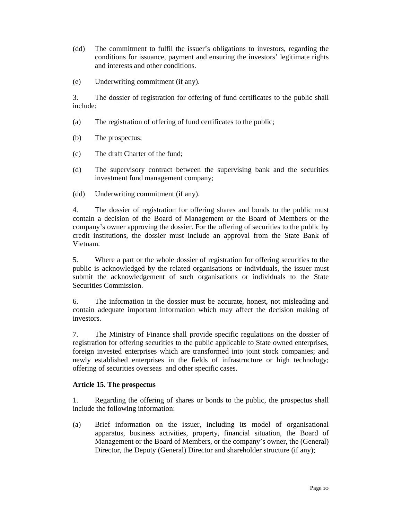- (dd) The commitment to fulfil the issuer's obligations to investors, regarding the conditions for issuance, payment and ensuring the investors' legitimate rights and interests and other conditions.
- (e) Underwriting commitment (if any).

3. The dossier of registration for offering of fund certificates to the public shall include:

- (a) The registration of offering of fund certificates to the public;
- (b) The prospectus;
- (c) The draft Charter of the fund;
- (d) The supervisory contract between the supervising bank and the securities investment fund management company;
- (dd) Underwriting commitment (if any).

4. The dossier of registration for offering shares and bonds to the public must contain a decision of the Board of Management or the Board of Members or the company's owner approving the dossier. For the offering of securities to the public by credit institutions, the dossier must include an approval from the State Bank of Vietnam.

5. Where a part or the whole dossier of registration for offering securities to the public is acknowledged by the related organisations or individuals, the issuer must submit the acknowledgement of such organisations or individuals to the State Securities Commission.

6. The information in the dossier must be accurate, honest, not misleading and contain adequate important information which may affect the decision making of investors.

7. The Ministry of Finance shall provide specific regulations on the dossier of registration for offering securities to the public applicable to State owned enterprises, foreign invested enterprises which are transformed into joint stock companies; and newly established enterprises in the fields of infrastructure or high technology; offering of securities overseas and other specific cases.

### **Article 15. The prospectus**

1. Regarding the offering of shares or bonds to the public, the prospectus shall include the following information:

(a) Brief information on the issuer, including its model of organisational apparatus, business activities, property, financial situation, the Board of Management or the Board of Members, or the company's owner, the (General) Director, the Deputy (General) Director and shareholder structure (if any);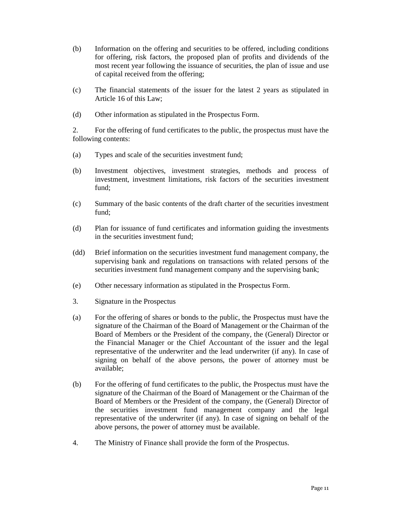- (b) Information on the offering and securities to be offered, including conditions for offering, risk factors, the proposed plan of profits and dividends of the most recent year following the issuance of securities, the plan of issue and use of capital received from the offering;
- (c) The financial statements of the issuer for the latest 2 years as stipulated in Article 16 of this Law;
- (d) Other information as stipulated in the Prospectus Form.

2. For the offering of fund certificates to the public, the prospectus must have the following contents:

- (a) Types and scale of the securities investment fund;
- (b) Investment objectives, investment strategies, methods and process of investment, investment limitations, risk factors of the securities investment fund;
- (c) Summary of the basic contents of the draft charter of the securities investment fund;
- (d) Plan for issuance of fund certificates and information guiding the investments in the securities investment fund;
- (dd) Brief information on the securities investment fund management company, the supervising bank and regulations on transactions with related persons of the securities investment fund management company and the supervising bank;
- (e) Other necessary information as stipulated in the Prospectus Form.
- 3. Signature in the Prospectus
- (a) For the offering of shares or bonds to the public, the Prospectus must have the signature of the Chairman of the Board of Management or the Chairman of the Board of Members or the President of the company, the (General) Director or the Financial Manager or the Chief Accountant of the issuer and the legal representative of the underwriter and the lead underwriter (if any). In case of signing on behalf of the above persons, the power of attorney must be available;
- (b) For the offering of fund certificates to the public, the Prospectus must have the signature of the Chairman of the Board of Management or the Chairman of the Board of Members or the President of the company, the (General) Director of the securities investment fund management company and the legal representative of the underwriter (if any). In case of signing on behalf of the above persons, the power of attorney must be available.
- 4. The Ministry of Finance shall provide the form of the Prospectus.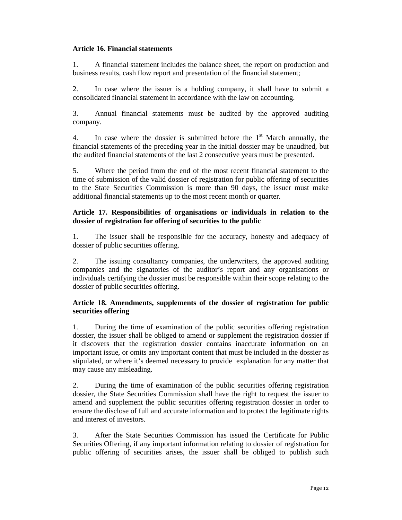### **Article 16. Financial statements**

1. A financial statement includes the balance sheet, the report on production and business results, cash flow report and presentation of the financial statement;

2. In case where the issuer is a holding company, it shall have to submit a consolidated financial statement in accordance with the law on accounting.

3. Annual financial statements must be audited by the approved auditing company.

4. In case where the dossier is submitted before the  $1<sup>st</sup>$  March annually, the financial statements of the preceding year in the initial dossier may be unaudited, but the audited financial statements of the last 2 consecutive years must be presented.

5. Where the period from the end of the most recent financial statement to the time of submission of the valid dossier of registration for public offering of securities to the State Securities Commission is more than 90 days, the issuer must make additional financial statements up to the most recent month or quarter.

### **Article 17. Responsibilities of organisations or individuals in relation to the dossier of registration for offering of securities to the public**

1. The issuer shall be responsible for the accuracy, honesty and adequacy of dossier of public securities offering.

2. The issuing consultancy companies, the underwriters, the approved auditing companies and the signatories of the auditor's report and any organisations or individuals certifying the dossier must be responsible within their scope relating to the dossier of public securities offering.

### **Article 18. Amendments, supplements of the dossier of registration for public securities offering**

1. During the time of examination of the public securities offering registration dossier, the issuer shall be obliged to amend or supplement the registration dossier if it discovers that the registration dossier contains inaccurate information on an important issue, or omits any important content that must be included in the dossier as stipulated, or where it's deemed necessary to provide explanation for any matter that may cause any misleading.

2. During the time of examination of the public securities offering registration dossier, the State Securities Commission shall have the right to request the issuer to amend and supplement the public securities offering registration dossier in order to ensure the disclose of full and accurate information and to protect the legitimate rights and interest of investors.

3. After the State Securities Commission has issued the Certificate for Public Securities Offering, if any important information relating to dossier of registration for public offering of securities arises, the issuer shall be obliged to publish such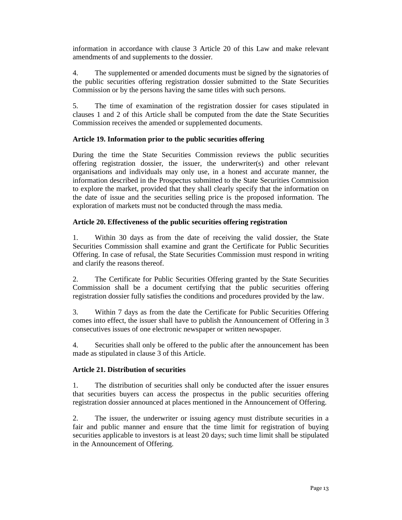information in accordance with clause 3 Article 20 of this Law and make relevant amendments of and supplements to the dossier.

4. The supplemented or amended documents must be signed by the signatories of the public securities offering registration dossier submitted to the State Securities Commission or by the persons having the same titles with such persons.

5. The time of examination of the registration dossier for cases stipulated in clauses 1 and 2 of this Article shall be computed from the date the State Securities Commission receives the amended or supplemented documents.

# **Article 19. Information prior to the public securities offering**

During the time the State Securities Commission reviews the public securities offering registration dossier, the issuer, the underwriter(s) and other relevant organisations and individuals may only use, in a honest and accurate manner, the information described in the Prospectus submitted to the State Securities Commission to explore the market, provided that they shall clearly specify that the information on the date of issue and the securities selling price is the proposed information. The exploration of markets must not be conducted through the mass media.

### **Article 20. Effectiveness of the public securities offering registration**

1. Within 30 days as from the date of receiving the valid dossier, the State Securities Commission shall examine and grant the Certificate for Public Securities Offering. In case of refusal, the State Securities Commission must respond in writing and clarify the reasons thereof.

2. The Certificate for Public Securities Offering granted by the State Securities Commission shall be a document certifying that the public securities offering registration dossier fully satisfies the conditions and procedures provided by the law.

3. Within 7 days as from the date the Certificate for Public Securities Offering comes into effect, the issuer shall have to publish the Announcement of Offering in 3 consecutives issues of one electronic newspaper or written newspaper.

4. Securities shall only be offered to the public after the announcement has been made as stipulated in clause 3 of this Article.

### **Article 21. Distribution of securities**

1. The distribution of securities shall only be conducted after the issuer ensures that securities buyers can access the prospectus in the public securities offering registration dossier announced at places mentioned in the Announcement of Offering.

2. The issuer, the underwriter or issuing agency must distribute securities in a fair and public manner and ensure that the time limit for registration of buying securities applicable to investors is at least 20 days; such time limit shall be stipulated in the Announcement of Offering.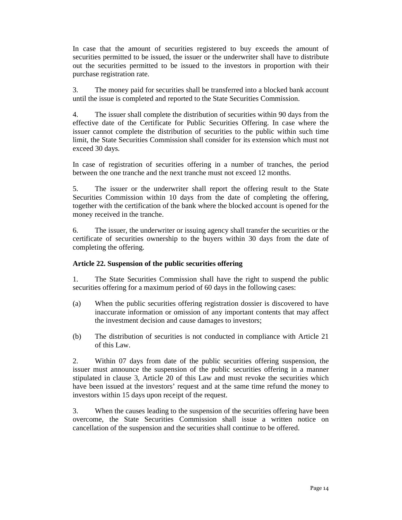In case that the amount of securities registered to buy exceeds the amount of securities permitted to be issued, the issuer or the underwriter shall have to distribute out the securities permitted to be issued to the investors in proportion with their purchase registration rate.

3. The money paid for securities shall be transferred into a blocked bank account until the issue is completed and reported to the State Securities Commission.

4. The issuer shall complete the distribution of securities within 90 days from the effective date of the Certificate for Public Securities Offering. In case where the issuer cannot complete the distribution of securities to the public within such time limit, the State Securities Commission shall consider for its extension which must not exceed 30 days.

In case of registration of securities offering in a number of tranches, the period between the one tranche and the next tranche must not exceed 12 months.

5. The issuer or the underwriter shall report the offering result to the State Securities Commission within 10 days from the date of completing the offering, together with the certification of the bank where the blocked account is opened for the money received in the tranche.

6. The issuer, the underwriter or issuing agency shall transfer the securities or the certificate of securities ownership to the buyers within 30 days from the date of completing the offering.

# **Article 22. Suspension of the public securities offering**

1. The State Securities Commission shall have the right to suspend the public securities offering for a maximum period of 60 days in the following cases:

- (a) When the public securities offering registration dossier is discovered to have inaccurate information or omission of any important contents that may affect the investment decision and cause damages to investors;
- (b) The distribution of securities is not conducted in compliance with Article 21 of this Law.

2. Within 07 days from date of the public securities offering suspension, the issuer must announce the suspension of the public securities offering in a manner stipulated in clause 3, Article 20 of this Law and must revoke the securities which have been issued at the investors' request and at the same time refund the money to investors within 15 days upon receipt of the request.

3. When the causes leading to the suspension of the securities offering have been overcome, the State Securities Commission shall issue a written notice on cancellation of the suspension and the securities shall continue to be offered.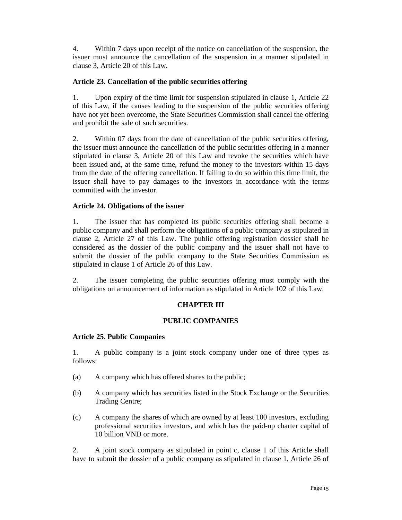4. Within 7 days upon receipt of the notice on cancellation of the suspension, the issuer must announce the cancellation of the suspension in a manner stipulated in clause 3, Article 20 of this Law.

# **Article 23. Cancellation of the public securities offering**

1. Upon expiry of the time limit for suspension stipulated in clause 1, Article 22 of this Law, if the causes leading to the suspension of the public securities offering have not yet been overcome, the State Securities Commission shall cancel the offering and prohibit the sale of such securities.

2. Within 07 days from the date of cancellation of the public securities offering, the issuer must announce the cancellation of the public securities offering in a manner stipulated in clause 3, Article 20 of this Law and revoke the securities which have been issued and, at the same time, refund the money to the investors within 15 days from the date of the offering cancellation. If failing to do so within this time limit, the issuer shall have to pay damages to the investors in accordance with the terms committed with the investor.

### **Article 24. Obligations of the issuer**

1. The issuer that has completed its public securities offering shall become a public company and shall perform the obligations of a public company as stipulated in clause 2, Article 27 of this Law. The public offering registration dossier shall be considered as the dossier of the public company and the issuer shall not have to submit the dossier of the public company to the State Securities Commission as stipulated in clause 1 of Article 26 of this Law.

2. The issuer completing the public securities offering must comply with the obligations on announcement of information as stipulated in Article 102 of this Law.

# **CHAPTER III**

### **PUBLIC COMPANIES**

### **Article 25. Public Companies**

1. A public company is a joint stock company under one of three types as follows:

- (a) A company which has offered shares to the public;
- (b) A company which has securities listed in the Stock Exchange or the Securities Trading Centre;
- (c) A company the shares of which are owned by at least 100 investors, excluding professional securities investors, and which has the paid-up charter capital of 10 billion VND or more.

2. A joint stock company as stipulated in point c, clause 1 of this Article shall have to submit the dossier of a public company as stipulated in clause 1, Article 26 of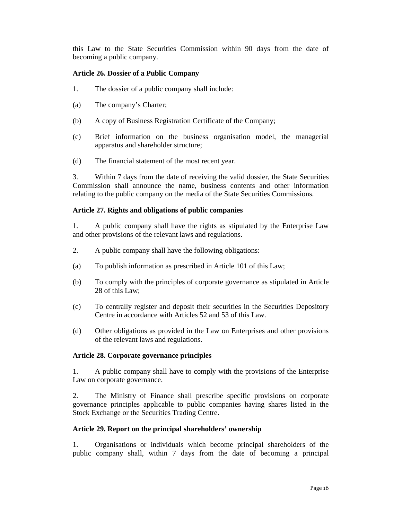this Law to the State Securities Commission within 90 days from the date of becoming a public company.

### **Article 26. Dossier of a Public Company**

- 1. The dossier of a public company shall include:
- (a) The company's Charter;
- (b) A copy of Business Registration Certificate of the Company;
- (c) Brief information on the business organisation model, the managerial apparatus and shareholder structure;
- (d) The financial statement of the most recent year.

3. Within 7 days from the date of receiving the valid dossier, the State Securities Commission shall announce the name, business contents and other information relating to the public company on the media of the State Securities Commissions.

### **Article 27. Rights and obligations of public companies**

1. A public company shall have the rights as stipulated by the Enterprise Law and other provisions of the relevant laws and regulations.

- 2. A public company shall have the following obligations:
- (a) To publish information as prescribed in Article 101 of this Law;
- (b) To comply with the principles of corporate governance as stipulated in Article 28 of this Law;
- (c) To centrally register and deposit their securities in the Securities Depository Centre in accordance with Articles 52 and 53 of this Law.
- (d) Other obligations as provided in the Law on Enterprises and other provisions of the relevant laws and regulations.

# **Article 28. Corporate governance principles**

1. A public company shall have to comply with the provisions of the Enterprise Law on corporate governance.

2. The Ministry of Finance shall prescribe specific provisions on corporate governance principles applicable to public companies having shares listed in the Stock Exchange or the Securities Trading Centre.

# **Article 29. Report on the principal shareholders' ownership**

1. Organisations or individuals which become principal shareholders of the public company shall, within 7 days from the date of becoming a principal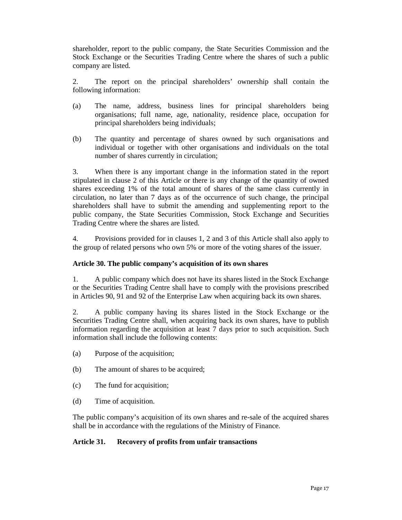shareholder, report to the public company, the State Securities Commission and the Stock Exchange or the Securities Trading Centre where the shares of such a public company are listed.

2. The report on the principal shareholders' ownership shall contain the following information:

- (a) The name, address, business lines for principal shareholders being organisations; full name, age, nationality, residence place, occupation for principal shareholders being individuals;
- (b) The quantity and percentage of shares owned by such organisations and individual or together with other organisations and individuals on the total number of shares currently in circulation;

3. When there is any important change in the information stated in the report stipulated in clause 2 of this Article or there is any change of the quantity of owned shares exceeding 1% of the total amount of shares of the same class currently in circulation, no later than 7 days as of the occurrence of such change, the principal shareholders shall have to submit the amending and supplementing report to the public company, the State Securities Commission, Stock Exchange and Securities Trading Centre where the shares are listed.

4. Provisions provided for in clauses 1, 2 and 3 of this Article shall also apply to the group of related persons who own 5% or more of the voting shares of the issuer.

# **Article 30. The public company's acquisition of its own shares**

1. A public company which does not have its shares listed in the Stock Exchange or the Securities Trading Centre shall have to comply with the provisions prescribed in Articles 90, 91 and 92 of the Enterprise Law when acquiring back its own shares.

2. A public company having its shares listed in the Stock Exchange or the Securities Trading Centre shall, when acquiring back its own shares, have to publish information regarding the acquisition at least 7 days prior to such acquisition. Such information shall include the following contents:

- (a) Purpose of the acquisition;
- (b) The amount of shares to be acquired;
- (c) The fund for acquisition;
- (d) Time of acquisition.

The public company's acquisition of its own shares and re-sale of the acquired shares shall be in accordance with the regulations of the Ministry of Finance.

### **Article 31. Recovery of profits from unfair transactions**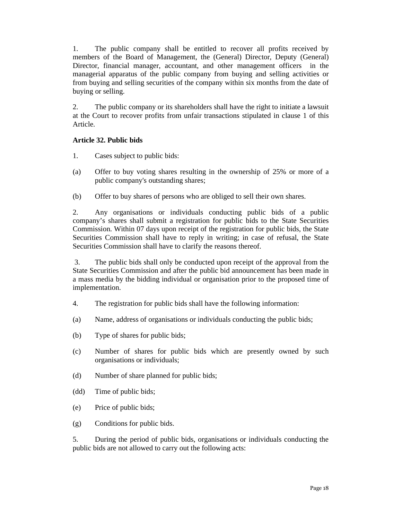1. The public company shall be entitled to recover all profits received by members of the Board of Management, the (General) Director, Deputy (General) Director, financial manager, accountant, and other management officers in the managerial apparatus of the public company from buying and selling activities or from buying and selling securities of the company within six months from the date of buying or selling.

2. The public company or its shareholders shall have the right to initiate a lawsuit at the Court to recover profits from unfair transactions stipulated in clause 1 of this Article.

# **Article 32. Public bids**

- 1. Cases subject to public bids:
- (a) Offer to buy voting shares resulting in the ownership of 25% or more of a public company's outstanding shares;
- (b) Offer to buy shares of persons who are obliged to sell their own shares.

2. Any organisations or individuals conducting public bids of a public company's shares shall submit a registration for public bids to the State Securities Commission. Within 07 days upon receipt of the registration for public bids, the State Securities Commission shall have to reply in writing; in case of refusal, the State Securities Commission shall have to clarify the reasons thereof.

 3. The public bids shall only be conducted upon receipt of the approval from the State Securities Commission and after the public bid announcement has been made in a mass media by the bidding individual or organisation prior to the proposed time of implementation.

- 4. The registration for public bids shall have the following information:
- (a) Name, address of organisations or individuals conducting the public bids;
- (b) Type of shares for public bids;
- (c) Number of shares for public bids which are presently owned by such organisations or individuals;
- (d) Number of share planned for public bids;
- (dd) Time of public bids;
- (e) Price of public bids;
- (g) Conditions for public bids.

5. During the period of public bids, organisations or individuals conducting the public bids are not allowed to carry out the following acts: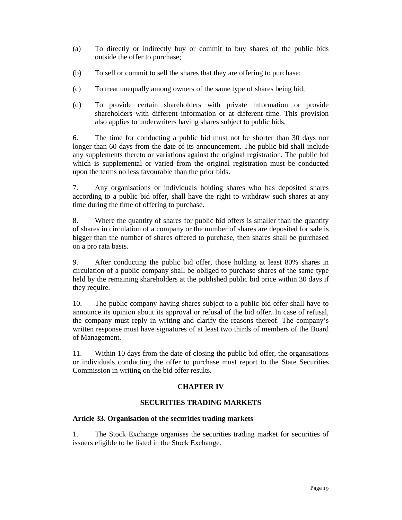- (a) To directly or indirectly buy or commit to buy shares of the public bids outside the offer to purchase;
- (b) To sell or commit to sell the shares that they are offering to purchase;
- (c) To treat unequally among owners of the same type of shares being bid;
- (d) To provide certain shareholders with private information or provide shareholders with different information or at different time. This provision also applies to underwriters having shares subject to public bids.

6. The time for conducting a public bid must not be shorter than 30 days nor longer than 60 days from the date of its announcement. The public bid shall include any supplements thereto or variations against the original registration. The public bid which is supplemental or varied from the original registration must be conducted upon the terms no less favourable than the prior bids.

7. Any organisations or individuals holding shares who has deposited shares according to a public bid offer, shall have the right to withdraw such shares at any time during the time of offering to purchase.

8. Where the quantity of shares for public bid offers is smaller than the quantity of shares in circulation of a company or the number of shares are deposited for sale is bigger than the number of shares offered to purchase, then shares shall be purchased on a pro rata basis.

9. After conducting the public bid offer, those holding at least 80% shares in circulation of a public company shall be obliged to purchase shares of the same type held by the remaining shareholders at the published public bid price within 30 days if they require.

10. The public company having shares subject to a public bid offer shall have to announce its opinion about its approval or refusal of the bid offer. In case of refusal, the company must reply in writing and clarify the reasons thereof. The company's written response must have signatures of at least two thirds of members of the Board of Management.

11. Within 10 days from the date of closing the public bid offer, the organisations or individuals conducting the offer to purchase must report to the State Securities Commission in writing on the bid offer results.

# **CHAPTER IV**

# **SECURITIES TRADING MARKETS**

### **Article 33. Organisation of the securities trading markets**

1. The Stock Exchange organises the securities trading market for securities of issuers eligible to be listed in the Stock Exchange.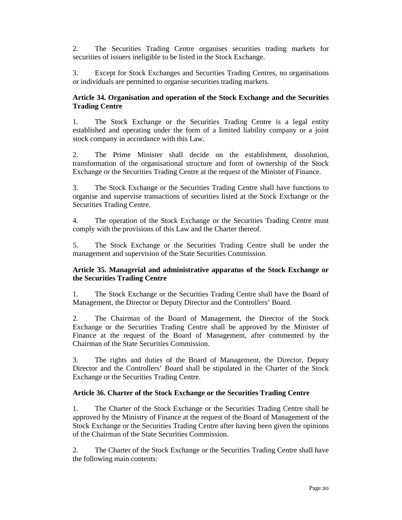2. The Securities Trading Centre organises securities trading markets for securities of issuers ineligible to be listed in the Stock Exchange.

3. Except for Stock Exchanges and Securities Trading Centres, no organisations or individuals are permitted to organise securities trading markets.

# **Article 34. Organisation and operation of the Stock Exchange and the Securities Trading Centre**

1. The Stock Exchange or the Securities Trading Centre is a legal entity established and operating under the form of a limited liability company or a joint stock company in accordance with this Law.

2. The Prime Minister shall decide on the establishment, dissolution, transformation of the organisational structure and form of ownership of the Stock Exchange or the Securities Trading Centre at the request of the Minister of Finance.

3. The Stock Exchange or the Securities Trading Centre shall have functions to organise and supervise transactions of securities listed at the Stock Exchange or the Securities Trading Centre.

4. The operation of the Stock Exchange or the Securities Trading Centre must comply with the provisions of this Law and the Charter thereof.

5. The Stock Exchange or the Securities Trading Centre shall be under the management and supervision of the State Securities Commission.

### **Article 35. Managerial and administrative apparatus of the Stock Exchange or the Securities Trading Centre**

1. The Stock Exchange or the Securities Trading Centre shall have the Board of Management, the Director or Deputy Director and the Controllers' Board.

2. The Chairman of the Board of Management, the Director of the Stock Exchange or the Securities Trading Centre shall be approved by the Minister of Finance at the request of the Board of Management, after commented by the Chairman of the State Securities Commission.

3. The rights and duties of the Board of Management, the Director, Deputy Director and the Controllers' Board shall be stipulated in the Charter of the Stock Exchange or the Securities Trading Centre.

# **Article 36. Charter of the Stock Exchange or the Securities Trading Centre**

1. The Charter of the Stock Exchange or the Securities Trading Centre shall be approved by the Ministry of Finance at the request of the Board of Management of the Stock Exchange or the Securities Trading Centre after having been given the opinions of the Chairman of the State Securities Commission.

2. The Charter of the Stock Exchange or the Securities Trading Centre shall have the following main contents: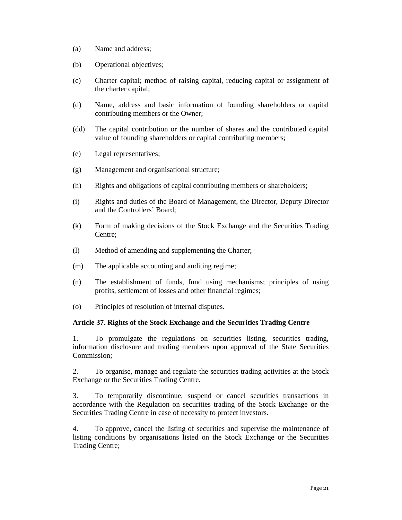- (a) Name and address;
- (b) Operational objectives;
- (c) Charter capital; method of raising capital, reducing capital or assignment of the charter capital;
- (d) Name, address and basic information of founding shareholders or capital contributing members or the Owner;
- (dd) The capital contribution or the number of shares and the contributed capital value of founding shareholders or capital contributing members;
- (e) Legal representatives;
- (g) Management and organisational structure;
- (h) Rights and obligations of capital contributing members or shareholders;
- (i) Rights and duties of the Board of Management, the Director, Deputy Director and the Controllers' Board;
- (k) Form of making decisions of the Stock Exchange and the Securities Trading Centre;
- (l) Method of amending and supplementing the Charter;
- (m) The applicable accounting and auditing regime;
- (n) The establishment of funds, fund using mechanisms; principles of using profits, settlement of losses and other financial regimes;
- (o) Principles of resolution of internal disputes.

### **Article 37. Rights of the Stock Exchange and the Securities Trading Centre**

1. To promulgate the regulations on securities listing, securities trading, information disclosure and trading members upon approval of the State Securities Commission;

2. To organise, manage and regulate the securities trading activities at the Stock Exchange or the Securities Trading Centre.

3. To temporarily discontinue, suspend or cancel securities transactions in accordance with the Regulation on securities trading of the Stock Exchange or the Securities Trading Centre in case of necessity to protect investors.

4. To approve, cancel the listing of securities and supervise the maintenance of listing conditions by organisations listed on the Stock Exchange or the Securities Trading Centre;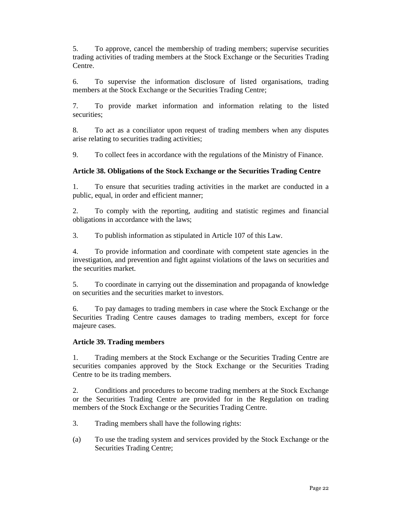5. To approve, cancel the membership of trading members; supervise securities trading activities of trading members at the Stock Exchange or the Securities Trading Centre.

6. To supervise the information disclosure of listed organisations, trading members at the Stock Exchange or the Securities Trading Centre;

7. To provide market information and information relating to the listed securities;

8. To act as a conciliator upon request of trading members when any disputes arise relating to securities trading activities;

9. To collect fees in accordance with the regulations of the Ministry of Finance.

### **Article 38. Obligations of the Stock Exchange or the Securities Trading Centre**

1. To ensure that securities trading activities in the market are conducted in a public, equal, in order and efficient manner;

2. To comply with the reporting, auditing and statistic regimes and financial obligations in accordance with the laws;

3. To publish information as stipulated in Article 107 of this Law.

4. To provide information and coordinate with competent state agencies in the investigation, and prevention and fight against violations of the laws on securities and the securities market.

5. To coordinate in carrying out the dissemination and propaganda of knowledge on securities and the securities market to investors.

6. To pay damages to trading members in case where the Stock Exchange or the Securities Trading Centre causes damages to trading members, except for force majeure cases.

### **Article 39. Trading members**

1. Trading members at the Stock Exchange or the Securities Trading Centre are securities companies approved by the Stock Exchange or the Securities Trading Centre to be its trading members.

2. Conditions and procedures to become trading members at the Stock Exchange or the Securities Trading Centre are provided for in the Regulation on trading members of the Stock Exchange or the Securities Trading Centre.

3. Trading members shall have the following rights:

(a) To use the trading system and services provided by the Stock Exchange or the Securities Trading Centre;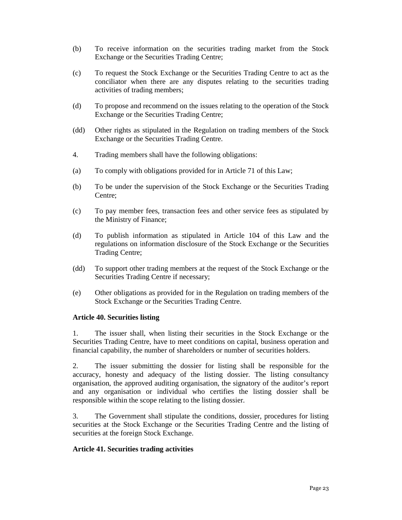- (b) To receive information on the securities trading market from the Stock Exchange or the Securities Trading Centre;
- (c) To request the Stock Exchange or the Securities Trading Centre to act as the conciliator when there are any disputes relating to the securities trading activities of trading members;
- (d) To propose and recommend on the issues relating to the operation of the Stock Exchange or the Securities Trading Centre;
- (dd) Other rights as stipulated in the Regulation on trading members of the Stock Exchange or the Securities Trading Centre.
- 4. Trading members shall have the following obligations:
- (a) To comply with obligations provided for in Article 71 of this Law;
- (b) To be under the supervision of the Stock Exchange or the Securities Trading Centre;
- (c) To pay member fees, transaction fees and other service fees as stipulated by the Ministry of Finance;
- (d) To publish information as stipulated in Article 104 of this Law and the regulations on information disclosure of the Stock Exchange or the Securities Trading Centre;
- (dd) To support other trading members at the request of the Stock Exchange or the Securities Trading Centre if necessary;
- (e) Other obligations as provided for in the Regulation on trading members of the Stock Exchange or the Securities Trading Centre.

### **Article 40. Securities listing**

1. The issuer shall, when listing their securities in the Stock Exchange or the Securities Trading Centre, have to meet conditions on capital, business operation and financial capability, the number of shareholders or number of securities holders.

2. The issuer submitting the dossier for listing shall be responsible for the accuracy, honesty and adequacy of the listing dossier. The listing consultancy organisation, the approved auditing organisation, the signatory of the auditor's report and any organisation or individual who certifies the listing dossier shall be responsible within the scope relating to the listing dossier.

3. The Government shall stipulate the conditions, dossier, procedures for listing securities at the Stock Exchange or the Securities Trading Centre and the listing of securities at the foreign Stock Exchange.

### **Article 41. Securities trading activities**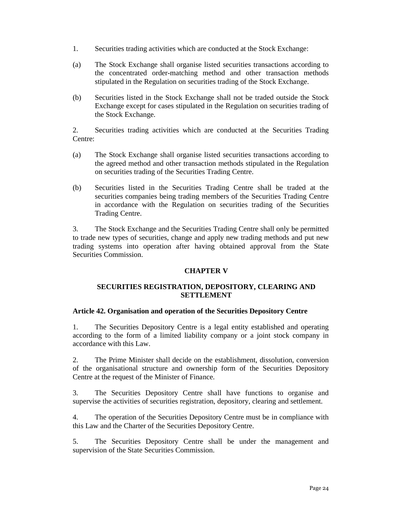- 1. Securities trading activities which are conducted at the Stock Exchange:
- (a) The Stock Exchange shall organise listed securities transactions according to the concentrated order-matching method and other transaction methods stipulated in the Regulation on securities trading of the Stock Exchange.
- (b) Securities listed in the Stock Exchange shall not be traded outside the Stock Exchange except for cases stipulated in the Regulation on securities trading of the Stock Exchange.

2. Securities trading activities which are conducted at the Securities Trading Centre:

- (a) The Stock Exchange shall organise listed securities transactions according to the agreed method and other transaction methods stipulated in the Regulation on securities trading of the Securities Trading Centre.
- (b) Securities listed in the Securities Trading Centre shall be traded at the securities companies being trading members of the Securities Trading Centre in accordance with the Regulation on securities trading of the Securities Trading Centre.

3. The Stock Exchange and the Securities Trading Centre shall only be permitted to trade new types of securities, change and apply new trading methods and put new trading systems into operation after having obtained approval from the State Securities Commission.

# **CHAPTER V**

# **SECURITIES REGISTRATION, DEPOSITORY, CLEARING AND SETTLEMENT**

### **Article 42. Organisation and operation of the Securities Depository Centre**

1. The Securities Depository Centre is a legal entity established and operating according to the form of a limited liability company or a joint stock company in accordance with this Law.

2. The Prime Minister shall decide on the establishment, dissolution, conversion of the organisational structure and ownership form of the Securities Depository Centre at the request of the Minister of Finance.

3. The Securities Depository Centre shall have functions to organise and supervise the activities of securities registration, depository, clearing and settlement.

4. The operation of the Securities Depository Centre must be in compliance with this Law and the Charter of the Securities Depository Centre.

5. The Securities Depository Centre shall be under the management and supervision of the State Securities Commission.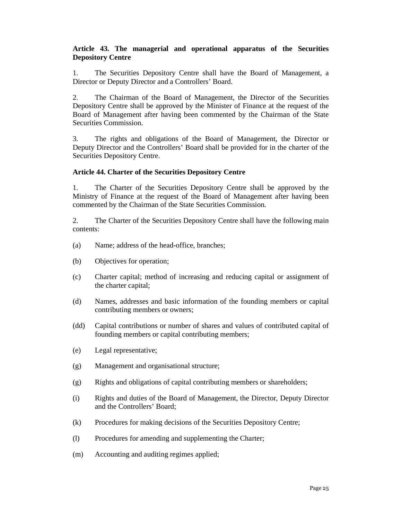# **Article 43. The managerial and operational apparatus of the Securities Depository Centre**

1. The Securities Depository Centre shall have the Board of Management, a Director or Deputy Director and a Controllers' Board.

2. The Chairman of the Board of Management, the Director of the Securities Depository Centre shall be approved by the Minister of Finance at the request of the Board of Management after having been commented by the Chairman of the State Securities Commission.

3. The rights and obligations of the Board of Management, the Director or Deputy Director and the Controllers' Board shall be provided for in the charter of the Securities Depository Centre.

### **Article 44. Charter of the Securities Depository Centre**

1. The Charter of the Securities Depository Centre shall be approved by the Ministry of Finance at the request of the Board of Management after having been commented by the Chairman of the State Securities Commission.

2. The Charter of the Securities Depository Centre shall have the following main contents:

- (a) Name; address of the head-office, branches;
- (b) Objectives for operation;
- (c) Charter capital; method of increasing and reducing capital or assignment of the charter capital;
- (d) Names, addresses and basic information of the founding members or capital contributing members or owners;
- (dd) Capital contributions or number of shares and values of contributed capital of founding members or capital contributing members;
- (e) Legal representative;
- (g) Management and organisational structure;
- (g) Rights and obligations of capital contributing members or shareholders;
- (i) Rights and duties of the Board of Management, the Director, Deputy Director and the Controllers' Board;
- (k) Procedures for making decisions of the Securities Depository Centre;
- (l) Procedures for amending and supplementing the Charter;
- (m) Accounting and auditing regimes applied;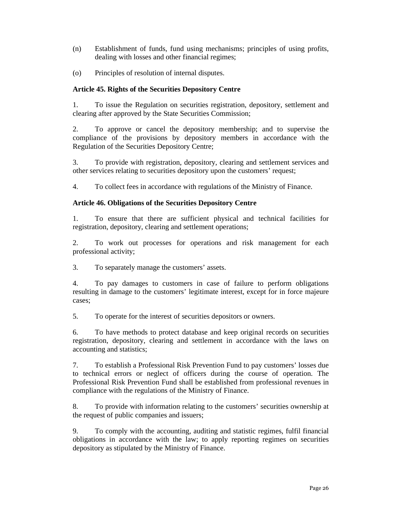- (n) Establishment of funds, fund using mechanisms; principles of using profits, dealing with losses and other financial regimes;
- (o) Principles of resolution of internal disputes.

# **Article 45. Rights of the Securities Depository Centre**

1. To issue the Regulation on securities registration, depository, settlement and clearing after approved by the State Securities Commission;

2. To approve or cancel the depository membership; and to supervise the compliance of the provisions by depository members in accordance with the Regulation of the Securities Depository Centre;

3. To provide with registration, depository, clearing and settlement services and other services relating to securities depository upon the customers' request;

4. To collect fees in accordance with regulations of the Ministry of Finance.

### **Article 46. Obligations of the Securities Depository Centre**

1. To ensure that there are sufficient physical and technical facilities for registration, depository, clearing and settlement operations;

2. To work out processes for operations and risk management for each professional activity;

3. To separately manage the customers' assets.

4. To pay damages to customers in case of failure to perform obligations resulting in damage to the customers' legitimate interest, except for in force majeure cases;

5. To operate for the interest of securities depositors or owners.

6. To have methods to protect database and keep original records on securities registration, depository, clearing and settlement in accordance with the laws on accounting and statistics;

7. To establish a Professional Risk Prevention Fund to pay customers' losses due to technical errors or neglect of officers during the course of operation. The Professional Risk Prevention Fund shall be established from professional revenues in compliance with the regulations of the Ministry of Finance.

8. To provide with information relating to the customers' securities ownership at the request of public companies and issuers;

9. To comply with the accounting, auditing and statistic regimes, fulfil financial obligations in accordance with the law; to apply reporting regimes on securities depository as stipulated by the Ministry of Finance.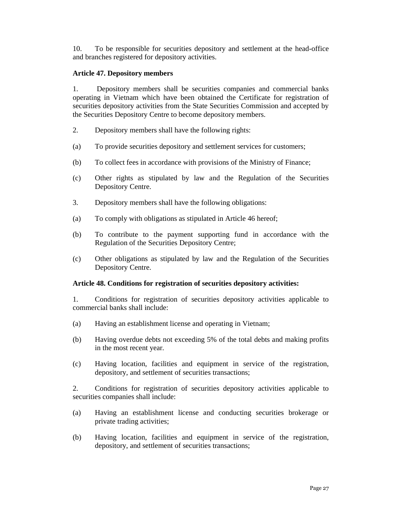10. To be responsible for securities depository and settlement at the head-office and branches registered for depository activities.

### **Article 47. Depository members**

1. Depository members shall be securities companies and commercial banks operating in Vietnam which have been obtained the Certificate for registration of securities depository activities from the State Securities Commission and accepted by the Securities Depository Centre to become depository members.

- 2. Depository members shall have the following rights:
- (a) To provide securities depository and settlement services for customers;
- (b) To collect fees in accordance with provisions of the Ministry of Finance;
- (c) Other rights as stipulated by law and the Regulation of the Securities Depository Centre.
- 3. Depository members shall have the following obligations:
- (a) To comply with obligations as stipulated in Article 46 hereof;
- (b) To contribute to the payment supporting fund in accordance with the Regulation of the Securities Depository Centre;
- (c) Other obligations as stipulated by law and the Regulation of the Securities Depository Centre.

### **Article 48. Conditions for registration of securities depository activities:**

1. Conditions for registration of securities depository activities applicable to commercial banks shall include:

- (a) Having an establishment license and operating in Vietnam;
- (b) Having overdue debts not exceeding 5% of the total debts and making profits in the most recent year.
- (c) Having location, facilities and equipment in service of the registration, depository, and settlement of securities transactions;

2. Conditions for registration of securities depository activities applicable to securities companies shall include:

- (a) Having an establishment license and conducting securities brokerage or private trading activities;
- (b) Having location, facilities and equipment in service of the registration, depository, and settlement of securities transactions;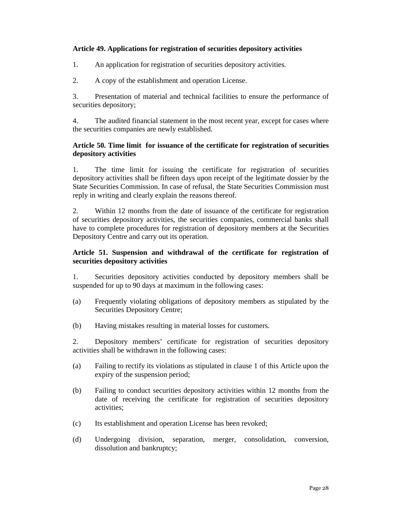# **Article 49. Applications for registration of securities depository activities**

- 1. An application for registration of securities depository activities.
- 2. A copy of the establishment and operation License.

3. Presentation of material and technical facilities to ensure the performance of securities depository;

4. The audited financial statement in the most recent year, except for cases where the securities companies are newly established.

### **Article 50. Time limit for issuance of the certificate for registration of securities depository activities**

1. The time limit for issuing the certificate for registration of securities depository activities shall be fifteen days upon receipt of the legitimate dossier by the State Securities Commission. In case of refusal, the State Securities Commission must reply in writing and clearly explain the reasons thereof.

2. Within 12 months from the date of issuance of the certificate for registration of securities depository activities, the securities companies, commercial banks shall have to complete procedures for registration of depository members at the Securities Depository Centre and carry out its operation.

### **Article 51. Suspension and withdrawal of the certificate for registration of securities depository activities**

1. Securities depository activities conducted by depository members shall be suspended for up to 90 days at maximum in the following cases:

- (a) Frequently violating obligations of depository members as stipulated by the Securities Depository Centre;
- (b) Having mistakes resulting in material losses for customers.

2. Depository members' certificate for registration of securities depository activities shall be withdrawn in the following cases:

- (a) Failing to rectify its violations as stipulated in clause 1 of this Article upon the expiry of the suspension period;
- (b) Failing to conduct securities depository activities within 12 months from the date of receiving the certificate for registration of securities depository activities;
- (c) Its establishment and operation License has been revoked;
- (d) Undergoing division, separation, merger, consolidation, conversion, dissolution and bankruptcy;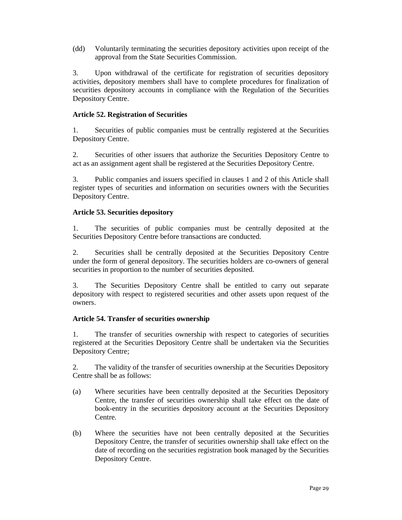(dd) Voluntarily terminating the securities depository activities upon receipt of the approval from the State Securities Commission.

3. Upon withdrawal of the certificate for registration of securities depository activities, depository members shall have to complete procedures for finalization of securities depository accounts in compliance with the Regulation of the Securities Depository Centre.

# **Article 52. Registration of Securities**

1. Securities of public companies must be centrally registered at the Securities Depository Centre.

2. Securities of other issuers that authorize the Securities Depository Centre to act as an assignment agent shall be registered at the Securities Depository Centre.

3. Public companies and issuers specified in clauses 1 and 2 of this Article shall register types of securities and information on securities owners with the Securities Depository Centre.

### **Article 53. Securities depository**

1. The securities of public companies must be centrally deposited at the Securities Depository Centre before transactions are conducted.

2. Securities shall be centrally deposited at the Securities Depository Centre under the form of general depository. The securities holders are co-owners of general securities in proportion to the number of securities deposited.

3. The Securities Depository Centre shall be entitled to carry out separate depository with respect to registered securities and other assets upon request of the owners.

### **Article 54. Transfer of securities ownership**

1. The transfer of securities ownership with respect to categories of securities registered at the Securities Depository Centre shall be undertaken via the Securities Depository Centre;

2. The validity of the transfer of securities ownership at the Securities Depository Centre shall be as follows:

- (a) Where securities have been centrally deposited at the Securities Depository Centre, the transfer of securities ownership shall take effect on the date of book-entry in the securities depository account at the Securities Depository Centre.
- (b) Where the securities have not been centrally deposited at the Securities Depository Centre, the transfer of securities ownership shall take effect on the date of recording on the securities registration book managed by the Securities Depository Centre.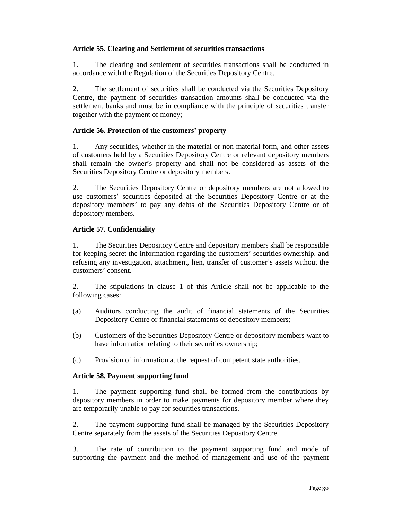### **Article 55. Clearing and Settlement of securities transactions**

1. The clearing and settlement of securities transactions shall be conducted in accordance with the Regulation of the Securities Depository Centre.

2. The settlement of securities shall be conducted via the Securities Depository Centre, the payment of securities transaction amounts shall be conducted via the settlement banks and must be in compliance with the principle of securities transfer together with the payment of money;

### **Article 56. Protection of the customers' property**

1. Any securities, whether in the material or non-material form, and other assets of customers held by a Securities Depository Centre or relevant depository members shall remain the owner's property and shall not be considered as assets of the Securities Depository Centre or depository members.

2. The Securities Depository Centre or depository members are not allowed to use customers' securities deposited at the Securities Depository Centre or at the depository members' to pay any debts of the Securities Depository Centre or of depository members.

### **Article 57. Confidentiality**

1. The Securities Depository Centre and depository members shall be responsible for keeping secret the information regarding the customers' securities ownership, and refusing any investigation, attachment, lien, transfer of customer's assets without the customers' consent.

2. The stipulations in clause 1 of this Article shall not be applicable to the following cases:

- (a) Auditors conducting the audit of financial statements of the Securities Depository Centre or financial statements of depository members;
- (b) Customers of the Securities Depository Centre or depository members want to have information relating to their securities ownership;
- (c) Provision of information at the request of competent state authorities.

### **Article 58. Payment supporting fund**

1. The payment supporting fund shall be formed from the contributions by depository members in order to make payments for depository member where they are temporarily unable to pay for securities transactions.

2. The payment supporting fund shall be managed by the Securities Depository Centre separately from the assets of the Securities Depository Centre.

3. The rate of contribution to the payment supporting fund and mode of supporting the payment and the method of management and use of the payment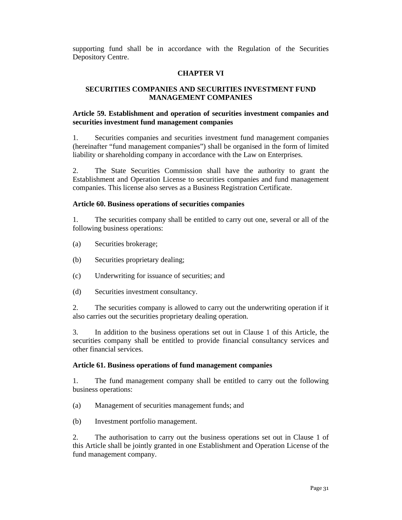supporting fund shall be in accordance with the Regulation of the Securities Depository Centre.

### **CHAPTER VI**

# **SECURITIES COMPANIES AND SECURITIES INVESTMENT FUND MANAGEMENT COMPANIES**

### **Article 59. Establishment and operation of securities investment companies and securities investment fund management companies**

1. Securities companies and securities investment fund management companies (hereinafter "fund management companies") shall be organised in the form of limited liability or shareholding company in accordance with the Law on Enterprises.

2. The State Securities Commission shall have the authority to grant the Establishment and Operation License to securities companies and fund management companies. This license also serves as a Business Registration Certificate.

### **Article 60. Business operations of securities companies**

1. The securities company shall be entitled to carry out one, several or all of the following business operations:

- (a) Securities brokerage;
- (b) Securities proprietary dealing;
- (c) Underwriting for issuance of securities; and
- (d) Securities investment consultancy.

2. The securities company is allowed to carry out the underwriting operation if it also carries out the securities proprietary dealing operation.

3. In addition to the business operations set out in Clause 1 of this Article, the securities company shall be entitled to provide financial consultancy services and other financial services.

#### **Article 61. Business operations of fund management companies**

1. The fund management company shall be entitled to carry out the following business operations:

(a) Management of securities management funds; and

(b) Investment portfolio management.

2. The authorisation to carry out the business operations set out in Clause 1 of this Article shall be jointly granted in one Establishment and Operation License of the fund management company.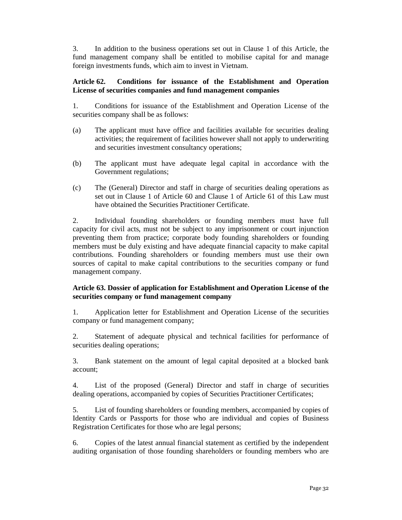3. In addition to the business operations set out in Clause 1 of this Article, the fund management company shall be entitled to mobilise capital for and manage foreign investments funds, which aim to invest in Vietnam.

### **Article 62. Conditions for issuance of the Establishment and Operation License of securities companies and fund management companies**

1. Conditions for issuance of the Establishment and Operation License of the securities company shall be as follows:

- (a) The applicant must have office and facilities available for securities dealing activities; the requirement of facilities however shall not apply to underwriting and securities investment consultancy operations;
- (b) The applicant must have adequate legal capital in accordance with the Government regulations;
- (c) The (General) Director and staff in charge of securities dealing operations as set out in Clause 1 of Article 60 and Clause 1 of Article 61 of this Law must have obtained the Securities Practitioner Certificate.

2. Individual founding shareholders or founding members must have full capacity for civil acts, must not be subject to any imprisonment or court injunction preventing them from practice; corporate body founding shareholders or founding members must be duly existing and have adequate financial capacity to make capital contributions. Founding shareholders or founding members must use their own sources of capital to make capital contributions to the securities company or fund management company.

### **Article 63. Dossier of application for Establishment and Operation License of the securities company or fund management company**

1. Application letter for Establishment and Operation License of the securities company or fund management company;

2. Statement of adequate physical and technical facilities for performance of securities dealing operations;

3. Bank statement on the amount of legal capital deposited at a blocked bank account;

4. List of the proposed (General) Director and staff in charge of securities dealing operations, accompanied by copies of Securities Practitioner Certificates;

5. List of founding shareholders or founding members, accompanied by copies of Identity Cards or Passports for those who are individual and copies of Business Registration Certificates for those who are legal persons;

6. Copies of the latest annual financial statement as certified by the independent auditing organisation of those founding shareholders or founding members who are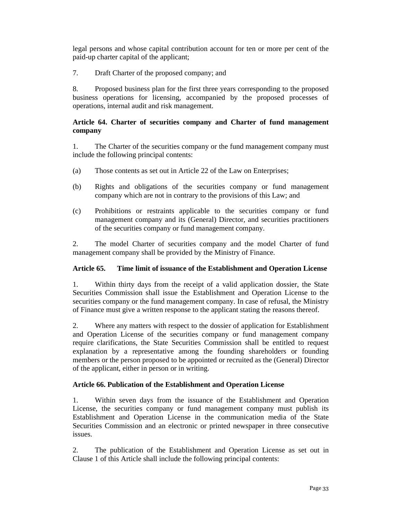legal persons and whose capital contribution account for ten or more per cent of the paid-up charter capital of the applicant;

7. Draft Charter of the proposed company; and

8. Proposed business plan for the first three years corresponding to the proposed business operations for licensing, accompanied by the proposed processes of operations, internal audit and risk management.

## **Article 64. Charter of securities company and Charter of fund management company**

1. The Charter of the securities company or the fund management company must include the following principal contents:

- (a) Those contents as set out in Article 22 of the Law on Enterprises;
- (b) Rights and obligations of the securities company or fund management company which are not in contrary to the provisions of this Law; and
- (c) Prohibitions or restraints applicable to the securities company or fund management company and its (General) Director, and securities practitioners of the securities company or fund management company.

2. The model Charter of securities company and the model Charter of fund management company shall be provided by the Ministry of Finance.

# **Article 65. Time limit of issuance of the Establishment and Operation License**

1. Within thirty days from the receipt of a valid application dossier, the State Securities Commission shall issue the Establishment and Operation License to the securities company or the fund management company. In case of refusal, the Ministry of Finance must give a written response to the applicant stating the reasons thereof.

2. Where any matters with respect to the dossier of application for Establishment and Operation License of the securities company or fund management company require clarifications, the State Securities Commission shall be entitled to request explanation by a representative among the founding shareholders or founding members or the person proposed to be appointed or recruited as the (General) Director of the applicant, either in person or in writing.

# **Article 66. Publication of the Establishment and Operation License**

1. Within seven days from the issuance of the Establishment and Operation License, the securities company or fund management company must publish its Establishment and Operation License in the communication media of the State Securities Commission and an electronic or printed newspaper in three consecutive issues.

2. The publication of the Establishment and Operation License as set out in Clause 1 of this Article shall include the following principal contents: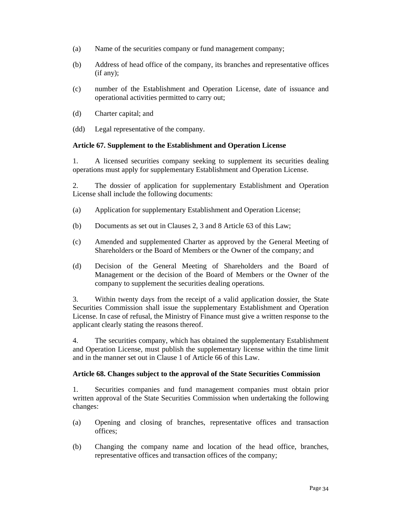- (a) Name of the securities company or fund management company;
- (b) Address of head office of the company, its branches and representative offices (if any);
- (c) number of the Establishment and Operation License, date of issuance and operational activities permitted to carry out;
- (d) Charter capital; and

(dd) Legal representative of the company.

### **Article 67. Supplement to the Establishment and Operation License**

1. A licensed securities company seeking to supplement its securities dealing operations must apply for supplementary Establishment and Operation License.

2. The dossier of application for supplementary Establishment and Operation License shall include the following documents:

- (a) Application for supplementary Establishment and Operation License;
- (b) Documents as set out in Clauses 2, 3 and 8 Article 63 of this Law;
- (c) Amended and supplemented Charter as approved by the General Meeting of Shareholders or the Board of Members or the Owner of the company; and
- (d) Decision of the General Meeting of Shareholders and the Board of Management or the decision of the Board of Members or the Owner of the company to supplement the securities dealing operations.

3. Within twenty days from the receipt of a valid application dossier, the State Securities Commission shall issue the supplementary Establishment and Operation License. In case of refusal, the Ministry of Finance must give a written response to the applicant clearly stating the reasons thereof.

4. The securities company, which has obtained the supplementary Establishment and Operation License, must publish the supplementary license within the time limit and in the manner set out in Clause 1 of Article 66 of this Law.

### **Article 68. Changes subject to the approval of the State Securities Commission**

1. Securities companies and fund management companies must obtain prior written approval of the State Securities Commission when undertaking the following changes:

- (a) Opening and closing of branches, representative offices and transaction offices;
- (b) Changing the company name and location of the head office, branches, representative offices and transaction offices of the company;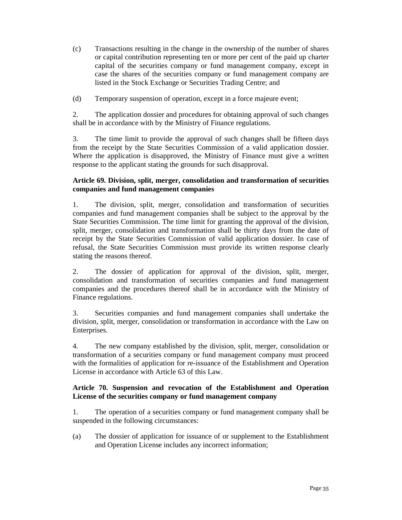- (c) Transactions resulting in the change in the ownership of the number of shares or capital contribution representing ten or more per cent of the paid up charter capital of the securities company or fund management company, except in case the shares of the securities company or fund management company are listed in the Stock Exchange or Securities Trading Centre; and
- (d) Temporary suspension of operation, except in a force majeure event;

2. The application dossier and procedures for obtaining approval of such changes shall be in accordance with by the Ministry of Finance regulations.

3. The time limit to provide the approval of such changes shall be fifteen days from the receipt by the State Securities Commission of a valid application dossier. Where the application is disapproved, the Ministry of Finance must give a written response to the applicant stating the grounds for such disapproval.

### **Article 69. Division, split, merger, consolidation and transformation of securities companies and fund management companies**

1. The division, split, merger, consolidation and transformation of securities companies and fund management companies shall be subject to the approval by the State Securities Commission. The time limit for granting the approval of the division, split, merger, consolidation and transformation shall be thirty days from the date of receipt by the State Securities Commission of valid application dossier. In case of refusal, the State Securities Commission must provide its written response clearly stating the reasons thereof.

2. The dossier of application for approval of the division, split, merger, consolidation and transformation of securities companies and fund management companies and the procedures thereof shall be in accordance with the Ministry of Finance regulations.

3. Securities companies and fund management companies shall undertake the division, split, merger, consolidation or transformation in accordance with the Law on Enterprises.

4. The new company established by the division, split, merger, consolidation or transformation of a securities company or fund management company must proceed with the formalities of application for re-issuance of the Establishment and Operation License in accordance with Article 63 of this Law.

# **Article 70. Suspension and revocation of the Establishment and Operation License of the securities company or fund management company**

1. The operation of a securities company or fund management company shall be suspended in the following circumstances:

(a) The dossier of application for issuance of or supplement to the Establishment and Operation License includes any incorrect information;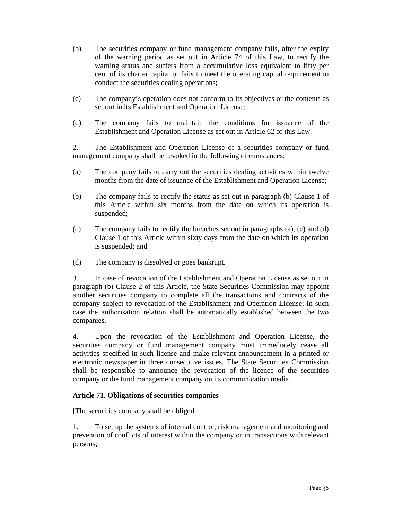- (b) The securities company or fund management company fails, after the expiry of the warning period as set out in Article 74 of this Law, to rectify the warning status and suffers from a accumulative loss equivalent to fifty per cent of its charter capital or fails to meet the operating capital requirement to conduct the securities dealing operations;
- (c) The company's operation does not conform to its objectives or the contents as set out in its Establishment and Operation License;
- (d) The company fails to maintain the conditions for issuance of the Establishment and Operation License as set out in Article 62 of this Law.

2. The Establishment and Operation License of a securities company or fund management company shall be revoked in the following circumstances:

- (a) The company fails to carry out the securities dealing activities within twelve months from the date of issuance of the Establishment and Operation License;
- (b) The company fails to rectify the status as set out in paragraph (b) Clause 1 of this Article within six months from the date on which its operation is suspended;
- (c) The company fails to rectify the breaches set out in paragraphs (a), (c) and (d) Clause 1 of this Article within sixty days from the date on which its operation is suspended; and
- (d) The company is dissolved or goes bankrupt.

3. In case of revocation of the Establishment and Operation License as set out in paragraph (b) Clause 2 of this Article, the State Securities Commission may appoint another securities company to complete all the transactions and contracts of the company subject to revocation of the Establishment and Operation License; in such case the authorisation relation shall be automatically established between the two companies.

4. Upon the revocation of the Establishment and Operation License, the securities company or fund management company must immediately cease all activities specified in such license and make relevant announcement in a printed or electronic newspaper in three consecutive issues. The State Securities Commission shall be responsible to announce the revocation of the licence of the securities company or the fund management company on its communication media.

# **Article 71. Obligations of securities companies**

[The securities company shall be obliged:]

1. To set up the systems of internal control, risk management and monitoring and prevention of conflicts of interest within the company or in transactions with relevant persons;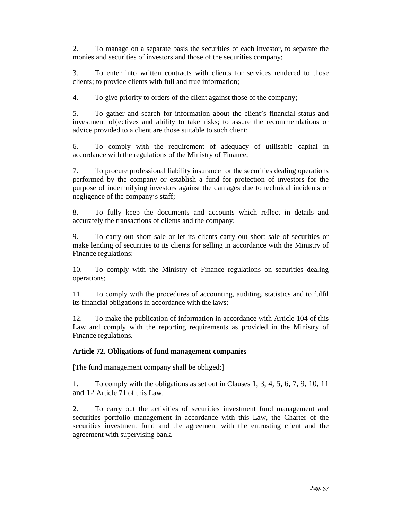2. To manage on a separate basis the securities of each investor, to separate the monies and securities of investors and those of the securities company;

3. To enter into written contracts with clients for services rendered to those clients; to provide clients with full and true information;

4. To give priority to orders of the client against those of the company;

5. To gather and search for information about the client's financial status and investment objectives and ability to take risks; to assure the recommendations or advice provided to a client are those suitable to such client;

6. To comply with the requirement of adequacy of utilisable capital in accordance with the regulations of the Ministry of Finance;

7. To procure professional liability insurance for the securities dealing operations performed by the company or establish a fund for protection of investors for the purpose of indemnifying investors against the damages due to technical incidents or negligence of the company's staff;

8. To fully keep the documents and accounts which reflect in details and accurately the transactions of clients and the company;

9. To carry out short sale or let its clients carry out short sale of securities or make lending of securities to its clients for selling in accordance with the Ministry of Finance regulations;

10. To comply with the Ministry of Finance regulations on securities dealing operations;

11. To comply with the procedures of accounting, auditing, statistics and to fulfil its financial obligations in accordance with the laws;

12. To make the publication of information in accordance with Article 104 of this Law and comply with the reporting requirements as provided in the Ministry of Finance regulations.

### **Article 72. Obligations of fund management companies**

[The fund management company shall be obliged:]

1. To comply with the obligations as set out in Clauses 1, 3, 4, 5, 6, 7, 9, 10, 11 and 12 Article 71 of this Law.

2. To carry out the activities of securities investment fund management and securities portfolio management in accordance with this Law, the Charter of the securities investment fund and the agreement with the entrusting client and the agreement with supervising bank.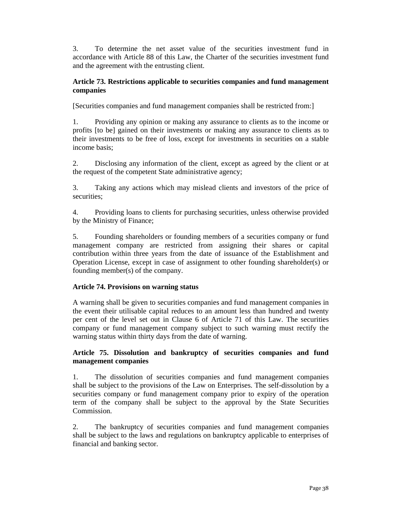3. To determine the net asset value of the securities investment fund in accordance with Article 88 of this Law, the Charter of the securities investment fund and the agreement with the entrusting client.

## **Article 73. Restrictions applicable to securities companies and fund management companies**

[Securities companies and fund management companies shall be restricted from:]

1. Providing any opinion or making any assurance to clients as to the income or profits [to be] gained on their investments or making any assurance to clients as to their investments to be free of loss, except for investments in securities on a stable income basis;

2. Disclosing any information of the client, except as agreed by the client or at the request of the competent State administrative agency;

3. Taking any actions which may mislead clients and investors of the price of securities;

4. Providing loans to clients for purchasing securities, unless otherwise provided by the Ministry of Finance;

5. Founding shareholders or founding members of a securities company or fund management company are restricted from assigning their shares or capital contribution within three years from the date of issuance of the Establishment and Operation License, except in case of assignment to other founding shareholder(s) or founding member(s) of the company.

# **Article 74. Provisions on warning status**

A warning shall be given to securities companies and fund management companies in the event their utilisable capital reduces to an amount less than hundred and twenty per cent of the level set out in Clause 6 of Article 71 of this Law. The securities company or fund management company subject to such warning must rectify the warning status within thirty days from the date of warning.

# **Article 75. Dissolution and bankruptcy of securities companies and fund management companies**

1. The dissolution of securities companies and fund management companies shall be subject to the provisions of the Law on Enterprises. The self-dissolution by a securities company or fund management company prior to expiry of the operation term of the company shall be subject to the approval by the State Securities Commission.

2. The bankruptcy of securities companies and fund management companies shall be subject to the laws and regulations on bankruptcy applicable to enterprises of financial and banking sector.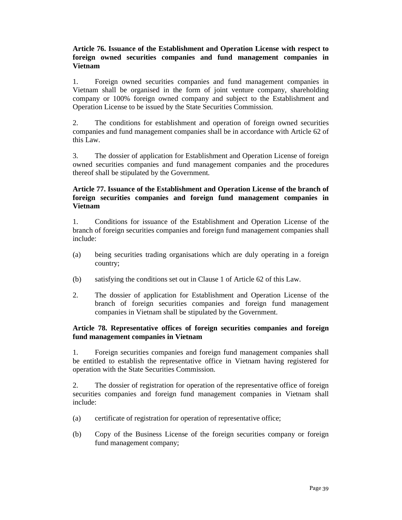# **Article 76. Issuance of the Establishment and Operation License with respect to foreign owned securities companies and fund management companies in Vietnam**

1. Foreign owned securities companies and fund management companies in Vietnam shall be organised in the form of joint venture company, shareholding company or 100% foreign owned company and subject to the Establishment and Operation License to be issued by the State Securities Commission.

2. The conditions for establishment and operation of foreign owned securities companies and fund management companies shall be in accordance with Article 62 of this Law.

3. The dossier of application for Establishment and Operation License of foreign owned securities companies and fund management companies and the procedures thereof shall be stipulated by the Government.

# **Article 77. Issuance of the Establishment and Operation License of the branch of foreign securities companies and foreign fund management companies in Vietnam**

1. Conditions for issuance of the Establishment and Operation License of the branch of foreign securities companies and foreign fund management companies shall include:

- (a) being securities trading organisations which are duly operating in a foreign country;
- (b) satisfying the conditions set out in Clause 1 of Article 62 of this Law.
- 2. The dossier of application for Establishment and Operation License of the branch of foreign securities companies and foreign fund management companies in Vietnam shall be stipulated by the Government.

### **Article 78. Representative offices of foreign securities companies and foreign fund management companies in Vietnam**

1. Foreign securities companies and foreign fund management companies shall be entitled to establish the representative office in Vietnam having registered for operation with the State Securities Commission.

2. The dossier of registration for operation of the representative office of foreign securities companies and foreign fund management companies in Vietnam shall include:

- (a) certificate of registration for operation of representative office;
- (b) Copy of the Business License of the foreign securities company or foreign fund management company;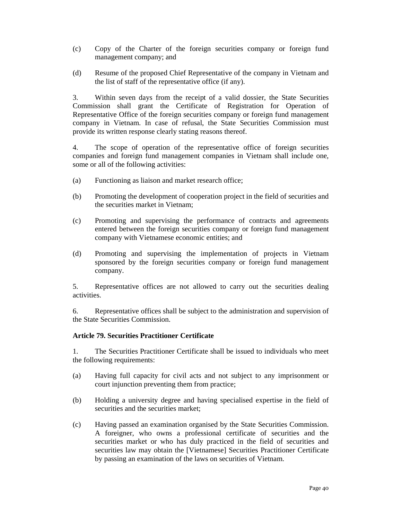- (c) Copy of the Charter of the foreign securities company or foreign fund management company; and
- (d) Resume of the proposed Chief Representative of the company in Vietnam and the list of staff of the representative office (if any).

3. Within seven days from the receipt of a valid dossier, the State Securities Commission shall grant the Certificate of Registration for Operation of Representative Office of the foreign securities company or foreign fund management company in Vietnam. In case of refusal, the State Securities Commission must provide its written response clearly stating reasons thereof.

4. The scope of operation of the representative office of foreign securities companies and foreign fund management companies in Vietnam shall include one, some or all of the following activities:

- (a) Functioning as liaison and market research office;
- (b) Promoting the development of cooperation project in the field of securities and the securities market in Vietnam;
- (c) Promoting and supervising the performance of contracts and agreements entered between the foreign securities company or foreign fund management company with Vietnamese economic entities; and
- (d) Promoting and supervising the implementation of projects in Vietnam sponsored by the foreign securities company or foreign fund management company.

5. Representative offices are not allowed to carry out the securities dealing activities.

6. Representative offices shall be subject to the administration and supervision of the State Securities Commission.

### **Article 79. Securities Practitioner Certificate**

1. The Securities Practitioner Certificate shall be issued to individuals who meet the following requirements:

- (a) Having full capacity for civil acts and not subject to any imprisonment or court injunction preventing them from practice;
- (b) Holding a university degree and having specialised expertise in the field of securities and the securities market;
- (c) Having passed an examination organised by the State Securities Commission. A foreigner, who owns a professional certificate of securities and the securities market or who has duly practiced in the field of securities and securities law may obtain the [Vietnamese] Securities Practitioner Certificate by passing an examination of the laws on securities of Vietnam.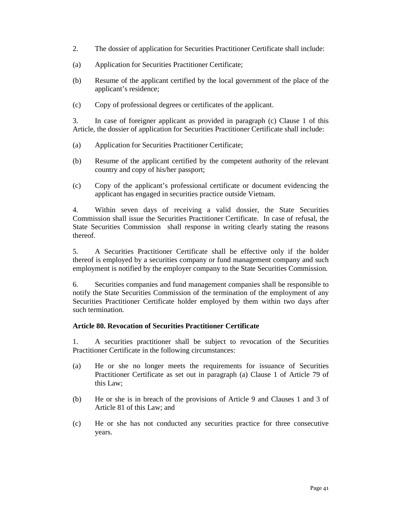- 2. The dossier of application for Securities Practitioner Certificate shall include:
- (a) Application for Securities Practitioner Certificate;
- (b) Resume of the applicant certified by the local government of the place of the applicant's residence;
- (c) Copy of professional degrees or certificates of the applicant.

3. In case of foreigner applicant as provided in paragraph (c) Clause 1 of this Article, the dossier of application for Securities Practitioner Certificate shall include:

- (a) Application for Securities Practitioner Certificate;
- (b) Resume of the applicant certified by the competent authority of the relevant country and copy of his/her passport;
- (c) Copy of the applicant's professional certificate or document evidencing the applicant has engaged in securities practice outside Vietnam.

4. Within seven days of receiving a valid dossier, the State Securities Commission shall issue the Securities Practitioner Certificate. In case of refusal, the State Securities Commission shall response in writing clearly stating the reasons thereof.

5. A Securities Practitioner Certificate shall be effective only if the holder thereof is employed by a securities company or fund management company and such employment is notified by the employer company to the State Securities Commission.

6. Securities companies and fund management companies shall be responsible to notify the State Securities Commission of the termination of the employment of any Securities Practitioner Certificate holder employed by them within two days after such termination.

### **Article 80. Revocation of Securities Practitioner Certificate**

1. A securities practitioner shall be subject to revocation of the Securities Practitioner Certificate in the following circumstances:

- (a) He or she no longer meets the requirements for issuance of Securities Practitioner Certificate as set out in paragraph (a) Clause 1 of Article 79 of this Law;
- (b) He or she is in breach of the provisions of Article 9 and Clauses 1 and 3 of Article 81 of this Law; and
- (c) He or she has not conducted any securities practice for three consecutive years.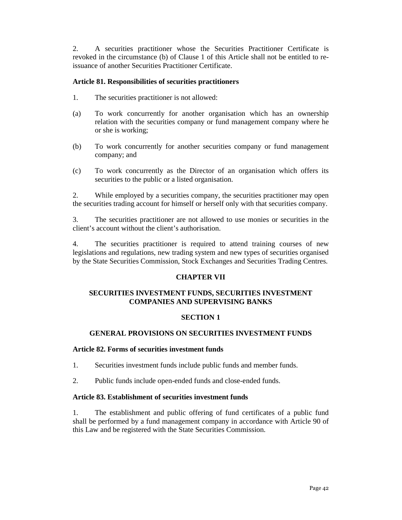2. A securities practitioner whose the Securities Practitioner Certificate is revoked in the circumstance (b) of Clause 1 of this Article shall not be entitled to reissuance of another Securities Practitioner Certificate.

### **Article 81. Responsibilities of securities practitioners**

- 1. The securities practitioner is not allowed:
- (a) To work concurrently for another organisation which has an ownership relation with the securities company or fund management company where he or she is working;
- (b) To work concurrently for another securities company or fund management company; and
- (c) To work concurrently as the Director of an organisation which offers its securities to the public or a listed organisation.

2. While employed by a securities company, the securities practitioner may open the securities trading account for himself or herself only with that securities company.

3. The securities practitioner are not allowed to use monies or securities in the client's account without the client's authorisation.

4. The securities practitioner is required to attend training courses of new legislations and regulations, new trading system and new types of securities organised by the State Securities Commission, Stock Exchanges and Securities Trading Centres.

### **CHAPTER VII**

# **SECURITIES INVESTMENT FUNDS, SECURITIES INVESTMENT COMPANIES AND SUPERVISING BANKS**

# **SECTION 1**

# **GENERAL PROVISIONS ON SECURITIES INVESTMENT FUNDS**

### **Article 82. Forms of securities investment funds**

- 1. Securities investment funds include public funds and member funds.
- 2. Public funds include open-ended funds and close-ended funds.

### **Article 83. Establishment of securities investment funds**

1. The establishment and public offering of fund certificates of a public fund shall be performed by a fund management company in accordance with Article 90 of this Law and be registered with the State Securities Commission.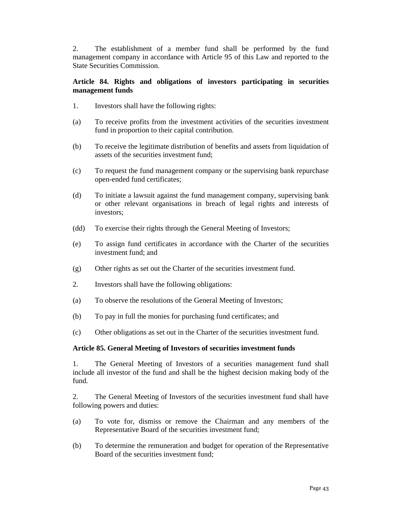2. The establishment of a member fund shall be performed by the fund management company in accordance with Article 95 of this Law and reported to the State Securities Commission.

### **Article 84. Rights and obligations of investors participating in securities management funds**

- 1. Investors shall have the following rights:
- (a) To receive profits from the investment activities of the securities investment fund in proportion to their capital contribution.
- (b) To receive the legitimate distribution of benefits and assets from liquidation of assets of the securities investment fund;
- (c) To request the fund management company or the supervising bank repurchase open-ended fund certificates;
- (d) To initiate a lawsuit against the fund management company, supervising bank or other relevant organisations in breach of legal rights and interests of investors;
- (dd) To exercise their rights through the General Meeting of Investors;
- (e) To assign fund certificates in accordance with the Charter of the securities investment fund; and
- (g) Other rights as set out the Charter of the securities investment fund.
- 2. Investors shall have the following obligations:
- (a) To observe the resolutions of the General Meeting of Investors;
- (b) To pay in full the monies for purchasing fund certificates; and
- (c) Other obligations as set out in the Charter of the securities investment fund.

### **Article 85. General Meeting of Investors of securities investment funds**

1. The General Meeting of Investors of a securities management fund shall include all investor of the fund and shall be the highest decision making body of the fund.

2. The General Meeting of Investors of the securities investment fund shall have following powers and duties:

- (a) To vote for, dismiss or remove the Chairman and any members of the Representative Board of the securities investment fund;
- (b) To determine the remuneration and budget for operation of the Representative Board of the securities investment fund;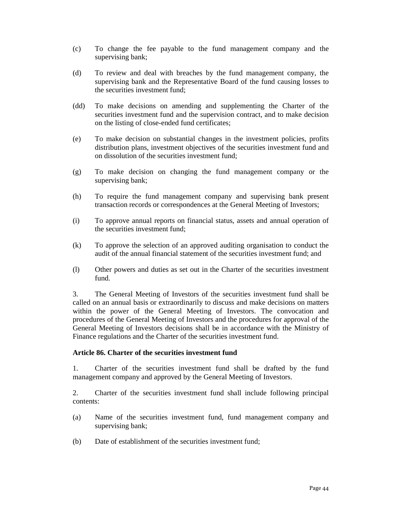- (c) To change the fee payable to the fund management company and the supervising bank;
- (d) To review and deal with breaches by the fund management company, the supervising bank and the Representative Board of the fund causing losses to the securities investment fund;
- (dd) To make decisions on amending and supplementing the Charter of the securities investment fund and the supervision contract, and to make decision on the listing of close-ended fund certificates;
- (e) To make decision on substantial changes in the investment policies, profits distribution plans, investment objectives of the securities investment fund and on dissolution of the securities investment fund;
- (g) To make decision on changing the fund management company or the supervising bank;
- (h) To require the fund management company and supervising bank present transaction records or correspondences at the General Meeting of Investors;
- (i) To approve annual reports on financial status, assets and annual operation of the securities investment fund;
- (k) To approve the selection of an approved auditing organisation to conduct the audit of the annual financial statement of the securities investment fund; and
- (l) Other powers and duties as set out in the Charter of the securities investment fund.

3. The General Meeting of Investors of the securities investment fund shall be called on an annual basis or extraordinarily to discuss and make decisions on matters within the power of the General Meeting of Investors. The convocation and procedures of the General Meeting of Investors and the procedures for approval of the General Meeting of Investors decisions shall be in accordance with the Ministry of Finance regulations and the Charter of the securities investment fund.

### **Article 86. Charter of the securities investment fund**

1. Charter of the securities investment fund shall be drafted by the fund management company and approved by the General Meeting of Investors.

2. Charter of the securities investment fund shall include following principal contents:

- (a) Name of the securities investment fund, fund management company and supervising bank;
- (b) Date of establishment of the securities investment fund;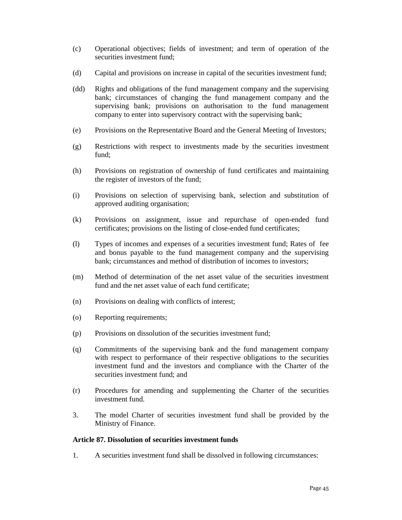- (c) Operational objectives; fields of investment; and term of operation of the securities investment fund;
- (d) Capital and provisions on increase in capital of the securities investment fund;
- (dd) Rights and obligations of the fund management company and the supervising bank; circumstances of changing the fund management company and the supervising bank; provisions on authorisation to the fund management company to enter into supervisory contract with the supervising bank;
- (e) Provisions on the Representative Board and the General Meeting of Investors;
- (g) Restrictions with respect to investments made by the securities investment fund;
- (h) Provisions on registration of ownership of fund certificates and maintaining the register of investors of the fund;
- (i) Provisions on selection of supervising bank, selection and substitution of approved auditing organisation;
- (k) Provisions on assignment, issue and repurchase of open-ended fund certificates; provisions on the listing of close-ended fund certificates;
- (l) Types of incomes and expenses of a securities investment fund; Rates of fee and bonus payable to the fund management company and the supervising bank; circumstances and method of distribution of incomes to investors;
- (m) Method of determination of the net asset value of the securities investment fund and the net asset value of each fund certificate;
- (n) Provisions on dealing with conflicts of interest;
- (o) Reporting requirements;
- (p) Provisions on dissolution of the securities investment fund;
- (q) Commitments of the supervising bank and the fund management company with respect to performance of their respective obligations to the securities investment fund and the investors and compliance with the Charter of the securities investment fund; and
- (r) Procedures for amending and supplementing the Charter of the securities investment fund.
- 3. The model Charter of securities investment fund shall be provided by the Ministry of Finance.

#### **Article 87. Dissolution of securities investment funds**

1. A securities investment fund shall be dissolved in following circumstances: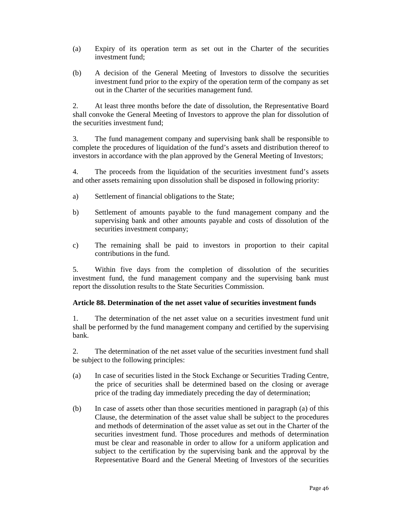- (a) Expiry of its operation term as set out in the Charter of the securities investment fund;
- (b) A decision of the General Meeting of Investors to dissolve the securities investment fund prior to the expiry of the operation term of the company as set out in the Charter of the securities management fund.

2. At least three months before the date of dissolution, the Representative Board shall convoke the General Meeting of Investors to approve the plan for dissolution of the securities investment fund;

3. The fund management company and supervising bank shall be responsible to complete the procedures of liquidation of the fund's assets and distribution thereof to investors in accordance with the plan approved by the General Meeting of Investors;

4. The proceeds from the liquidation of the securities investment fund's assets and other assets remaining upon dissolution shall be disposed in following priority:

- a) Settlement of financial obligations to the State;
- b) Settlement of amounts payable to the fund management company and the supervising bank and other amounts payable and costs of dissolution of the securities investment company;
- c) The remaining shall be paid to investors in proportion to their capital contributions in the fund.

5. Within five days from the completion of dissolution of the securities investment fund, the fund management company and the supervising bank must report the dissolution results to the State Securities Commission.

### **Article 88. Determination of the net asset value of securities investment funds**

1. The determination of the net asset value on a securities investment fund unit shall be performed by the fund management company and certified by the supervising bank.

2. The determination of the net asset value of the securities investment fund shall be subject to the following principles:

- (a) In case of securities listed in the Stock Exchange or Securities Trading Centre, the price of securities shall be determined based on the closing or average price of the trading day immediately preceding the day of determination;
- (b) In case of assets other than those securities mentioned in paragraph (a) of this Clause, the determination of the asset value shall be subject to the procedures and methods of determination of the asset value as set out in the Charter of the securities investment fund. Those procedures and methods of determination must be clear and reasonable in order to allow for a uniform application and subject to the certification by the supervising bank and the approval by the Representative Board and the General Meeting of Investors of the securities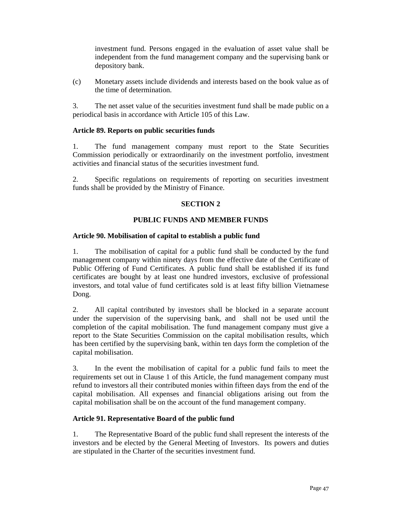investment fund. Persons engaged in the evaluation of asset value shall be independent from the fund management company and the supervising bank or depository bank.

(c) Monetary assets include dividends and interests based on the book value as of the time of determination.

3. The net asset value of the securities investment fund shall be made public on a periodical basis in accordance with Article 105 of this Law.

### **Article 89. Reports on public securities funds**

1. The fund management company must report to the State Securities Commission periodically or extraordinarily on the investment portfolio, investment activities and financial status of the securities investment fund.

2. Specific regulations on requirements of reporting on securities investment funds shall be provided by the Ministry of Finance.

### **SECTION 2**

### **PUBLIC FUNDS AND MEMBER FUNDS**

### **Article 90. Mobilisation of capital to establish a public fund**

1. The mobilisation of capital for a public fund shall be conducted by the fund management company within ninety days from the effective date of the Certificate of Public Offering of Fund Certificates. A public fund shall be established if its fund certificates are bought by at least one hundred investors, exclusive of professional investors, and total value of fund certificates sold is at least fifty billion Vietnamese Dong.

2. All capital contributed by investors shall be blocked in a separate account under the supervision of the supervising bank, and shall not be used until the completion of the capital mobilisation. The fund management company must give a report to the State Securities Commission on the capital mobilisation results, which has been certified by the supervising bank, within ten days form the completion of the capital mobilisation.

3. In the event the mobilisation of capital for a public fund fails to meet the requirements set out in Clause 1 of this Article, the fund management company must refund to investors all their contributed monies within fifteen days from the end of the capital mobilisation. All expenses and financial obligations arising out from the capital mobilisation shall be on the account of the fund management company.

### **Article 91. Representative Board of the public fund**

1. The Representative Board of the public fund shall represent the interests of the investors and be elected by the General Meeting of Investors. Its powers and duties are stipulated in the Charter of the securities investment fund.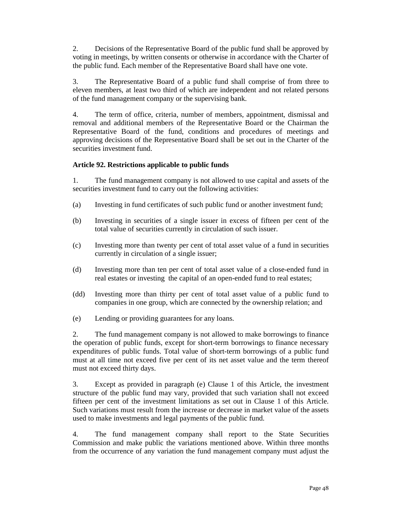2. Decisions of the Representative Board of the public fund shall be approved by voting in meetings, by written consents or otherwise in accordance with the Charter of the public fund. Each member of the Representative Board shall have one vote.

3. The Representative Board of a public fund shall comprise of from three to eleven members, at least two third of which are independent and not related persons of the fund management company or the supervising bank.

4. The term of office, criteria, number of members, appointment, dismissal and removal and additional members of the Representative Board or the Chairman the Representative Board of the fund, conditions and procedures of meetings and approving decisions of the Representative Board shall be set out in the Charter of the securities investment fund.

# **Article 92. Restrictions applicable to public funds**

1. The fund management company is not allowed to use capital and assets of the securities investment fund to carry out the following activities:

- (a) Investing in fund certificates of such public fund or another investment fund;
- (b) Investing in securities of a single issuer in excess of fifteen per cent of the total value of securities currently in circulation of such issuer.
- (c) Investing more than twenty per cent of total asset value of a fund in securities currently in circulation of a single issuer;
- (d) Investing more than ten per cent of total asset value of a close-ended fund in real estates or investing the capital of an open-ended fund to real estates;
- (dd) Investing more than thirty per cent of total asset value of a public fund to companies in one group, which are connected by the ownership relation; and
- (e) Lending or providing guarantees for any loans.

2. The fund management company is not allowed to make borrowings to finance the operation of public funds, except for short-term borrowings to finance necessary expenditures of public funds. Total value of short-term borrowings of a public fund must at all time not exceed five per cent of its net asset value and the term thereof must not exceed thirty days.

3. Except as provided in paragraph (e) Clause 1 of this Article, the investment structure of the public fund may vary, provided that such variation shall not exceed fifteen per cent of the investment limitations as set out in Clause 1 of this Article. Such variations must result from the increase or decrease in market value of the assets used to make investments and legal payments of the public fund.

4. The fund management company shall report to the State Securities Commission and make public the variations mentioned above. Within three months from the occurrence of any variation the fund management company must adjust the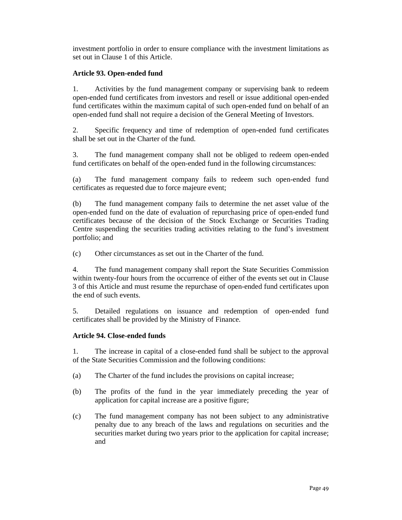investment portfolio in order to ensure compliance with the investment limitations as set out in Clause 1 of this Article.

### **Article 93. Open-ended fund**

1. Activities by the fund management company or supervising bank to redeem open-ended fund certificates from investors and resell or issue additional open-ended fund certificates within the maximum capital of such open-ended fund on behalf of an open-ended fund shall not require a decision of the General Meeting of Investors.

2. Specific frequency and time of redemption of open-ended fund certificates shall be set out in the Charter of the fund.

3. The fund management company shall not be obliged to redeem open-ended fund certificates on behalf of the open-ended fund in the following circumstances:

(a) The fund management company fails to redeem such open-ended fund certificates as requested due to force majeure event;

(b) The fund management company fails to determine the net asset value of the open-ended fund on the date of evaluation of repurchasing price of open-ended fund certificates because of the decision of the Stock Exchange or Securities Trading Centre suspending the securities trading activities relating to the fund's investment portfolio; and

(c) Other circumstances as set out in the Charter of the fund.

4. The fund management company shall report the State Securities Commission within twenty-four hours from the occurrence of either of the events set out in Clause 3 of this Article and must resume the repurchase of open-ended fund certificates upon the end of such events.

5. Detailed regulations on issuance and redemption of open-ended fund certificates shall be provided by the Ministry of Finance.

# **Article 94. Close-ended funds**

1. The increase in capital of a close-ended fund shall be subject to the approval of the State Securities Commission and the following conditions:

- (a) The Charter of the fund includes the provisions on capital increase;
- (b) The profits of the fund in the year immediately preceding the year of application for capital increase are a positive figure;
- (c) The fund management company has not been subject to any administrative penalty due to any breach of the laws and regulations on securities and the securities market during two years prior to the application for capital increase; and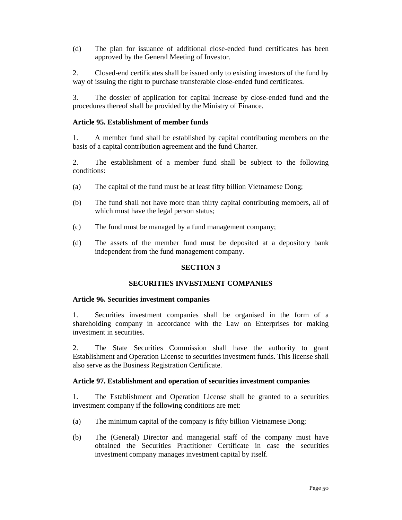(d) The plan for issuance of additional close-ended fund certificates has been approved by the General Meeting of Investor.

2. Closed-end certificates shall be issued only to existing investors of the fund by way of issuing the right to purchase transferable close-ended fund certificates.

3. The dossier of application for capital increase by close-ended fund and the procedures thereof shall be provided by the Ministry of Finance.

### **Article 95. Establishment of member funds**

1. A member fund shall be established by capital contributing members on the basis of a capital contribution agreement and the fund Charter.

2. The establishment of a member fund shall be subject to the following conditions:

- (a) The capital of the fund must be at least fifty billion Vietnamese Dong;
- (b) The fund shall not have more than thirty capital contributing members, all of which must have the legal person status;
- (c) The fund must be managed by a fund management company;
- (d) The assets of the member fund must be deposited at a depository bank independent from the fund management company.

# **SECTION 3**

## **SECURITIES INVESTMENT COMPANIES**

### **Article 96. Securities investment companies**

1. Securities investment companies shall be organised in the form of a shareholding company in accordance with the Law on Enterprises for making investment in securities.

2. The State Securities Commission shall have the authority to grant Establishment and Operation License to securities investment funds. This license shall also serve as the Business Registration Certificate.

### **Article 97. Establishment and operation of securities investment companies**

1. The Establishment and Operation License shall be granted to a securities investment company if the following conditions are met:

- (a) The minimum capital of the company is fifty billion Vietnamese Dong;
- (b) The (General) Director and managerial staff of the company must have obtained the Securities Practitioner Certificate in case the securities investment company manages investment capital by itself.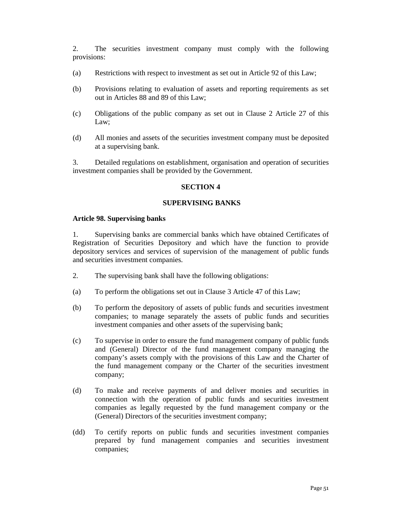2. The securities investment company must comply with the following provisions:

- (a) Restrictions with respect to investment as set out in Article 92 of this Law;
- (b) Provisions relating to evaluation of assets and reporting requirements as set out in Articles 88 and 89 of this Law;
- (c) Obligations of the public company as set out in Clause 2 Article 27 of this Law;
- (d) All monies and assets of the securities investment company must be deposited at a supervising bank.

3. Detailed regulations on establishment, organisation and operation of securities investment companies shall be provided by the Government.

### **SECTION 4**

#### **SUPERVISING BANKS**

#### **Article 98. Supervising banks**

1. Supervising banks are commercial banks which have obtained Certificates of Registration of Securities Depository and which have the function to provide depository services and services of supervision of the management of public funds and securities investment companies.

- 2. The supervising bank shall have the following obligations:
- (a) To perform the obligations set out in Clause 3 Article 47 of this Law;
- (b) To perform the depository of assets of public funds and securities investment companies; to manage separately the assets of public funds and securities investment companies and other assets of the supervising bank;
- (c) To supervise in order to ensure the fund management company of public funds and (General) Director of the fund management company managing the company's assets comply with the provisions of this Law and the Charter of the fund management company or the Charter of the securities investment company;
- (d) To make and receive payments of and deliver monies and securities in connection with the operation of public funds and securities investment companies as legally requested by the fund management company or the (General) Directors of the securities investment company;
- (dd) To certify reports on public funds and securities investment companies prepared by fund management companies and securities investment companies;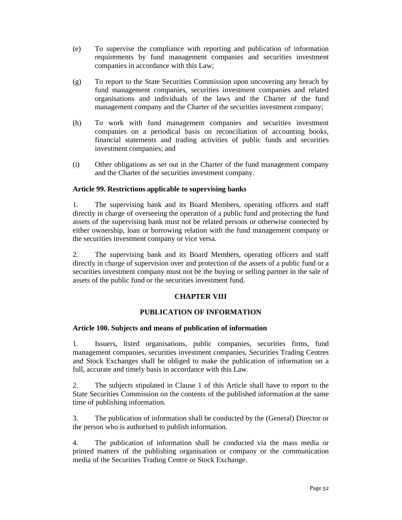- (e) To supervise the compliance with reporting and publication of information requirements by fund management companies and securities investment companies in accordance with this Law;
- (g) To report to the State Securities Commission upon uncovering any breach by fund management companies, securities investment companies and related organisations and individuals of the laws and the Charter of the fund management company and the Charter of the securities investment company;
- (h) To work with fund management companies and securities investment companies on a periodical basis on reconciliation of accounting books, financial statements and trading activities of public funds and securities investment companies; and
- (i) Other obligations as set out in the Charter of the fund management company and the Charter of the securities investment company.

# **Article 99. Restrictions applicable to supervising banks**

1. The supervising bank and its Board Members, operating officers and staff directly in charge of overseeing the operation of a public fund and protecting the fund assets of the supervising bank must not be related persons or otherwise connected by either ownership, loan or borrowing relation with the fund management company or the securities investment company or vice versa.

2. The supervising bank and its Board Members, operating officers and staff directly in charge of supervision over and protection of the assets of a public fund or a securities investment company must not be the buying or selling partner in the sale of assets of the public fund or the securities investment fund.

# **CHAPTER VIII**

# **PUBLICATION OF INFORMATION**

### **Article 100. Subjects and means of publication of information**

1. Issuers, listed organisations, public companies, securities firms, fund management companies, securities investment companies, Securities Trading Centres and Stock Exchanges shall be obliged to make the publication of information on a full, accurate and timely basis in accordance with this Law.

2. The subjects stipulated in Clause 1 of this Article shall have to report to the State Securities Commission on the contents of the published information at the same time of publishing information.

3. The publication of information shall be conducted by the (General) Director or the person who is authorised to publish information.

4. The publication of information shall be conducted via the mass media or printed matters of the publishing organisation or company or the communication media of the Securities Trading Centre or Stock Exchange.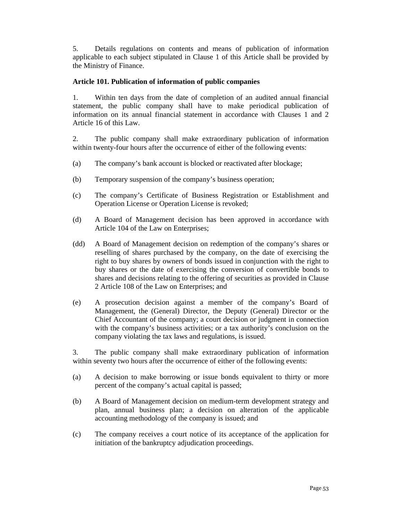5. Details regulations on contents and means of publication of information applicable to each subject stipulated in Clause 1 of this Article shall be provided by the Ministry of Finance.

# **Article 101. Publication of information of public companies**

1. Within ten days from the date of completion of an audited annual financial statement, the public company shall have to make periodical publication of information on its annual financial statement in accordance with Clauses 1 and 2 Article 16 of this Law.

2. The public company shall make extraordinary publication of information within twenty-four hours after the occurrence of either of the following events:

- (a) The company's bank account is blocked or reactivated after blockage;
- (b) Temporary suspension of the company's business operation;
- (c) The company's Certificate of Business Registration or Establishment and Operation License or Operation License is revoked;
- (d) A Board of Management decision has been approved in accordance with Article 104 of the Law on Enterprises;
- (dd) A Board of Management decision on redemption of the company's shares or reselling of shares purchased by the company, on the date of exercising the right to buy shares by owners of bonds issued in conjunction with the right to buy shares or the date of exercising the conversion of convertible bonds to shares and decisions relating to the offering of securities as provided in Clause 2 Article 108 of the Law on Enterprises; and
- (e) A prosecution decision against a member of the company's Board of Management, the (General) Director, the Deputy (General) Director or the Chief Accountant of the company; a court decision or judgment in connection with the company's business activities; or a tax authority's conclusion on the company violating the tax laws and regulations, is issued.

3. The public company shall make extraordinary publication of information within seventy two hours after the occurrence of either of the following events:

- (a) A decision to make borrowing or issue bonds equivalent to thirty or more percent of the company's actual capital is passed;
- (b) A Board of Management decision on medium-term development strategy and plan, annual business plan; a decision on alteration of the applicable accounting methodology of the company is issued; and
- (c) The company receives a court notice of its acceptance of the application for initiation of the bankruptcy adjudication proceedings.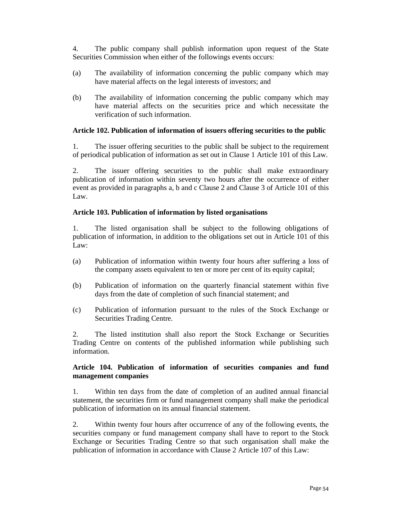4. The public company shall publish information upon request of the State Securities Commission when either of the followings events occurs:

- (a) The availability of information concerning the public company which may have material affects on the legal interests of investors; and
- (b) The availability of information concerning the public company which may have material affects on the securities price and which necessitate the verification of such information.

### **Article 102. Publication of information of issuers offering securities to the public**

1. The issuer offering securities to the public shall be subject to the requirement of periodical publication of information as set out in Clause 1 Article 101 of this Law.

2. The issuer offering securities to the public shall make extraordinary publication of information within seventy two hours after the occurrence of either event as provided in paragraphs a, b and c Clause 2 and Clause 3 of Article 101 of this Law.

### **Article 103. Publication of information by listed organisations**

1. The listed organisation shall be subject to the following obligations of publication of information, in addition to the obligations set out in Article 101 of this Law:

- (a) Publication of information within twenty four hours after suffering a loss of the company assets equivalent to ten or more per cent of its equity capital;
- (b) Publication of information on the quarterly financial statement within five days from the date of completion of such financial statement; and
- (c) Publication of information pursuant to the rules of the Stock Exchange or Securities Trading Centre.

2. The listed institution shall also report the Stock Exchange or Securities Trading Centre on contents of the published information while publishing such information.

### **Article 104. Publication of information of securities companies and fund management companies**

1. Within ten days from the date of completion of an audited annual financial statement, the securities firm or fund management company shall make the periodical publication of information on its annual financial statement.

2. Within twenty four hours after occurrence of any of the following events, the securities company or fund management company shall have to report to the Stock Exchange or Securities Trading Centre so that such organisation shall make the publication of information in accordance with Clause 2 Article 107 of this Law: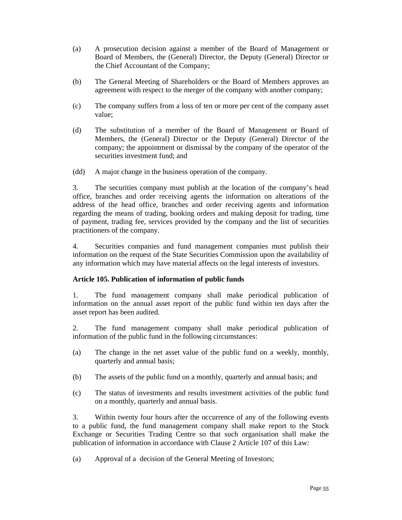- (a) A prosecution decision against a member of the Board of Management or Board of Members, the (General) Director, the Deputy (General) Director or the Chief Accountant of the Company;
- (b) The General Meeting of Shareholders or the Board of Members approves an agreement with respect to the merger of the company with another company;
- (c) The company suffers from a loss of ten or more per cent of the company asset value;
- (d) The substitution of a member of the Board of Management or Board of Members, the (General) Director or the Deputy (General) Director of the company; the appointment or dismissal by the company of the operator of the securities investment fund; and
- (dd) A major change in the business operation of the company.

3. The securities company must publish at the location of the company's head office, branches and order receiving agents the information on alterations of the address of the head office, branches and order receiving agents and information regarding the means of trading, booking orders and making deposit for trading, time of payment, trading fee, services provided by the company and the list of securities practitioners of the company.

4. Securities companies and fund management companies must publish their information on the request of the State Securities Commission upon the availability of any information which may have material affects on the legal interests of investors.

# **Article 105. Publication of information of public funds**

1. The fund management company shall make periodical publication of information on the annual asset report of the public fund within ten days after the asset report has been audited.

2. The fund management company shall make periodical publication of information of the public fund in the following circumstances:

- (a) The change in the net asset value of the public fund on a weekly, monthly, quarterly and annual basis;
- (b) The assets of the public fund on a monthly, quarterly and annual basis; and
- (c) The status of investments and results investment activities of the public fund on a monthly, quarterly and annual basis.

3. Within twenty four hours after the occurrence of any of the following events to a public fund, the fund management company shall make report to the Stock Exchange or Securities Trading Centre so that such organisation shall make the publication of information in accordance with Clause 2 Article 107 of this Law:

(a) Approval of a decision of the General Meeting of Investors;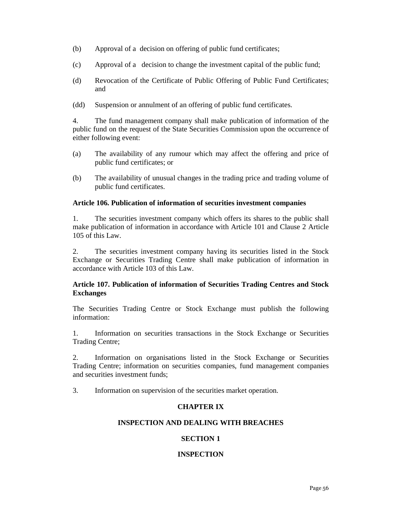- (b) Approval of a decision on offering of public fund certificates;
- (c) Approval of a decision to change the investment capital of the public fund;
- (d) Revocation of the Certificate of Public Offering of Public Fund Certificates; and
- (dd) Suspension or annulment of an offering of public fund certificates.

4. The fund management company shall make publication of information of the public fund on the request of the State Securities Commission upon the occurrence of either following event:

- (a) The availability of any rumour which may affect the offering and price of public fund certificates; or
- (b) The availability of unusual changes in the trading price and trading volume of public fund certificates.

### **Article 106. Publication of information of securities investment companies**

1. The securities investment company which offers its shares to the public shall make publication of information in accordance with Article 101 and Clause 2 Article 105 of this Law.

2. The securities investment company having its securities listed in the Stock Exchange or Securities Trading Centre shall make publication of information in accordance with Article 103 of this Law.

### **Article 107. Publication of information of Securities Trading Centres and Stock Exchanges**

The Securities Trading Centre or Stock Exchange must publish the following information:

1. Information on securities transactions in the Stock Exchange or Securities Trading Centre;

2. Information on organisations listed in the Stock Exchange or Securities Trading Centre; information on securities companies, fund management companies and securities investment funds;

3. Information on supervision of the securities market operation.

# **CHAPTER IX**

# **INSPECTION AND DEALING WITH BREACHES**

# **SECTION 1**

### **INSPECTION**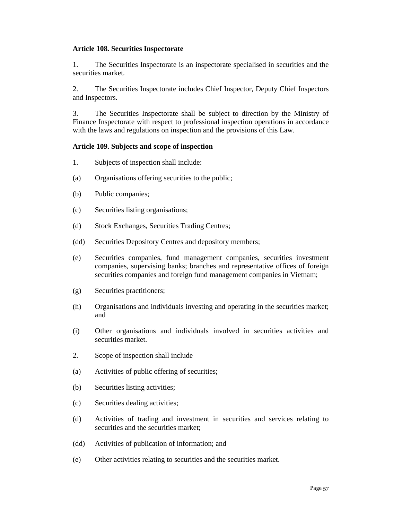#### **Article 108. Securities Inspectorate**

1. The Securities Inspectorate is an inspectorate specialised in securities and the securities market.

2. The Securities Inspectorate includes Chief Inspector, Deputy Chief Inspectors and Inspectors.

3. The Securities Inspectorate shall be subject to direction by the Ministry of Finance Inspectorate with respect to professional inspection operations in accordance with the laws and regulations on inspection and the provisions of this Law.

#### **Article 109. Subjects and scope of inspection**

- 1. Subjects of inspection shall include:
- (a) Organisations offering securities to the public;
- (b) Public companies;
- (c) Securities listing organisations;
- (d) Stock Exchanges, Securities Trading Centres;
- (dd) Securities Depository Centres and depository members;
- (e) Securities companies, fund management companies, securities investment companies, supervising banks; branches and representative offices of foreign securities companies and foreign fund management companies in Vietnam;
- (g) Securities practitioners;
- (h) Organisations and individuals investing and operating in the securities market; and
- (i) Other organisations and individuals involved in securities activities and securities market.
- 2. Scope of inspection shall include
- (a) Activities of public offering of securities;
- (b) Securities listing activities;
- (c) Securities dealing activities;
- (d) Activities of trading and investment in securities and services relating to securities and the securities market:
- (dd) Activities of publication of information; and
- (e) Other activities relating to securities and the securities market.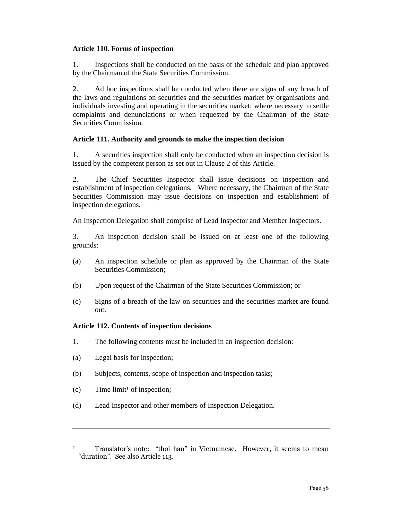### **Article 110. Forms of inspection**

1. Inspections shall be conducted on the basis of the schedule and plan approved by the Chairman of the State Securities Commission.

2. Ad hoc inspections shall be conducted when there are signs of any breach of the laws and regulations on securities and the securities market by organisations and individuals investing and operating in the securities market; where necessary to settle complaints and denunciations or when requested by the Chairman of the State Securities Commission.

### **Article 111. Authority and grounds to make the inspection decision**

1. A securities inspection shall only be conducted when an inspection decision is issued by the competent person as set out in Clause 2 of this Article.

2. The Chief Securities Inspector shall issue decisions on inspection and establishment of inspection delegations. Where necessary, the Chairman of the State Securities Commission may issue decisions on inspection and establishment of inspection delegations.

An Inspection Delegation shall comprise of Lead Inspector and Member Inspectors.

3. An inspection decision shall be issued on at least one of the following grounds:

- (a) An inspection schedule or plan as approved by the Chairman of the State Securities Commission;
- (b) Upon request of the Chairman of the State Securities Commission; or
- (c) Signs of a breach of the law on securities and the securities market are found out.

### **Article 112. Contents of inspection decisions**

- 1. The following contents must be included in an inspection decision:
- (a) Legal basis for inspection;
- (b) Subjects, contents, scope of inspection and inspection tasks;
- $(c)$  Time limit<sup>1</sup> of inspection;
- (d) Lead Inspector and other members of Inspection Delegation.

<sup>1</sup> Translator's note: "thoi han" in Vietnamese. However, it seems to mean "duration". See also Article 113.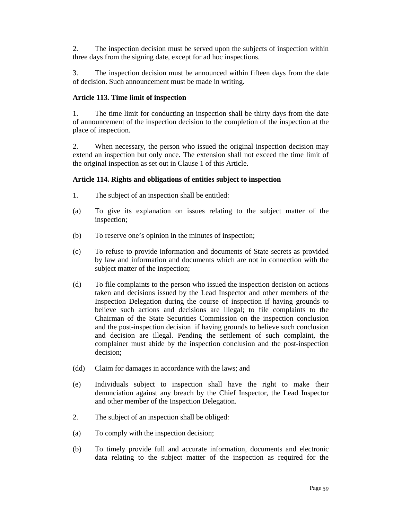2. The inspection decision must be served upon the subjects of inspection within three days from the signing date, except for ad hoc inspections.

3. The inspection decision must be announced within fifteen days from the date of decision. Such announcement must be made in writing.

# **Article 113. Time limit of inspection**

1. The time limit for conducting an inspection shall be thirty days from the date of announcement of the inspection decision to the completion of the inspection at the place of inspection.

2. When necessary, the person who issued the original inspection decision may extend an inspection but only once. The extension shall not exceed the time limit of the original inspection as set out in Clause 1 of this Article.

### **Article 114. Rights and obligations of entities subject to inspection**

- 1. The subject of an inspection shall be entitled:
- (a) To give its explanation on issues relating to the subject matter of the inspection;
- (b) To reserve one's opinion in the minutes of inspection;
- (c) To refuse to provide information and documents of State secrets as provided by law and information and documents which are not in connection with the subject matter of the inspection;
- (d) To file complaints to the person who issued the inspection decision on actions taken and decisions issued by the Lead Inspector and other members of the Inspection Delegation during the course of inspection if having grounds to believe such actions and decisions are illegal; to file complaints to the Chairman of the State Securities Commission on the inspection conclusion and the post-inspection decision if having grounds to believe such conclusion and decision are illegal. Pending the settlement of such complaint, the complainer must abide by the inspection conclusion and the post-inspection decision;
- (dd) Claim for damages in accordance with the laws; and
- (e) Individuals subject to inspection shall have the right to make their denunciation against any breach by the Chief Inspector, the Lead Inspector and other member of the Inspection Delegation.
- 2. The subject of an inspection shall be obliged:
- (a) To comply with the inspection decision;
- (b) To timely provide full and accurate information, documents and electronic data relating to the subject matter of the inspection as required for the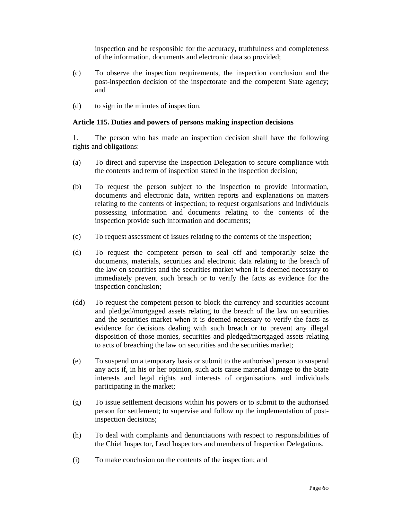inspection and be responsible for the accuracy, truthfulness and completeness of the information, documents and electronic data so provided;

- (c) To observe the inspection requirements, the inspection conclusion and the post-inspection decision of the inspectorate and the competent State agency; and
- (d) to sign in the minutes of inspection.

### **Article 115. Duties and powers of persons making inspection decisions**

1. The person who has made an inspection decision shall have the following rights and obligations:

- (a) To direct and supervise the Inspection Delegation to secure compliance with the contents and term of inspection stated in the inspection decision;
- (b) To request the person subject to the inspection to provide information, documents and electronic data, written reports and explanations on matters relating to the contents of inspection; to request organisations and individuals possessing information and documents relating to the contents of the inspection provide such information and documents;
- (c) To request assessment of issues relating to the contents of the inspection;
- (d) To request the competent person to seal off and temporarily seize the documents, materials, securities and electronic data relating to the breach of the law on securities and the securities market when it is deemed necessary to immediately prevent such breach or to verify the facts as evidence for the inspection conclusion;
- (dd) To request the competent person to block the currency and securities account and pledged/mortgaged assets relating to the breach of the law on securities and the securities market when it is deemed necessary to verify the facts as evidence for decisions dealing with such breach or to prevent any illegal disposition of those monies, securities and pledged/mortgaged assets relating to acts of breaching the law on securities and the securities market;
- (e) To suspend on a temporary basis or submit to the authorised person to suspend any acts if, in his or her opinion, such acts cause material damage to the State interests and legal rights and interests of organisations and individuals participating in the market;
- (g) To issue settlement decisions within his powers or to submit to the authorised person for settlement; to supervise and follow up the implementation of postinspection decisions;
- (h) To deal with complaints and denunciations with respect to responsibilities of the Chief Inspector, Lead Inspectors and members of Inspection Delegations.
- (i) To make conclusion on the contents of the inspection; and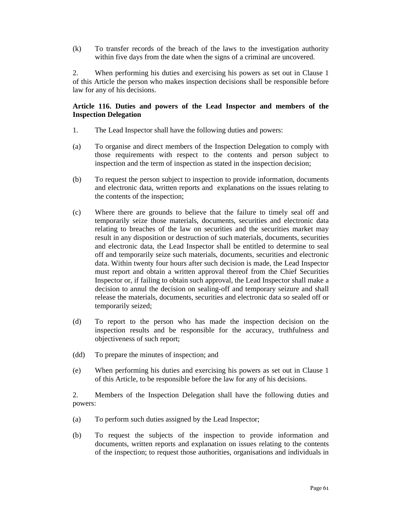(k) To transfer records of the breach of the laws to the investigation authority within five days from the date when the signs of a criminal are uncovered.

2. When performing his duties and exercising his powers as set out in Clause 1 of this Article the person who makes inspection decisions shall be responsible before law for any of his decisions.

### **Article 116. Duties and powers of the Lead Inspector and members of the Inspection Delegation**

- 1. The Lead Inspector shall have the following duties and powers:
- (a) To organise and direct members of the Inspection Delegation to comply with those requirements with respect to the contents and person subject to inspection and the term of inspection as stated in the inspection decision;
- (b) To request the person subject to inspection to provide information, documents and electronic data, written reports and explanations on the issues relating to the contents of the inspection;
- (c) Where there are grounds to believe that the failure to timely seal off and temporarily seize those materials, documents, securities and electronic data relating to breaches of the law on securities and the securities market may result in any disposition or destruction of such materials, documents, securities and electronic data, the Lead Inspector shall be entitled to determine to seal off and temporarily seize such materials, documents, securities and electronic data. Within twenty four hours after such decision is made, the Lead Inspector must report and obtain a written approval thereof from the Chief Securities Inspector or, if failing to obtain such approval, the Lead Inspector shall make a decision to annul the decision on sealing-off and temporary seizure and shall release the materials, documents, securities and electronic data so sealed off or temporarily seized;
- (d) To report to the person who has made the inspection decision on the inspection results and be responsible for the accuracy, truthfulness and objectiveness of such report;
- (dd) To prepare the minutes of inspection; and
- (e) When performing his duties and exercising his powers as set out in Clause 1 of this Article, to be responsible before the law for any of his decisions.

2. Members of the Inspection Delegation shall have the following duties and powers:

- (a) To perform such duties assigned by the Lead Inspector;
- (b) To request the subjects of the inspection to provide information and documents, written reports and explanation on issues relating to the contents of the inspection; to request those authorities, organisations and individuals in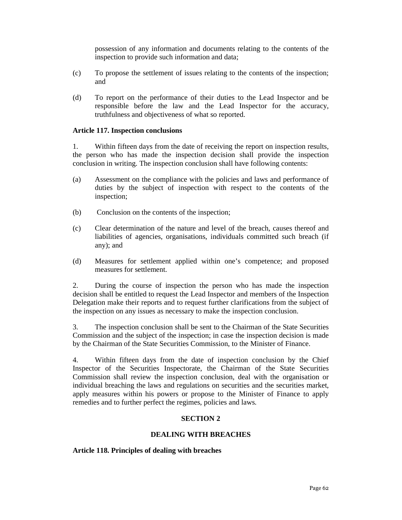possession of any information and documents relating to the contents of the inspection to provide such information and data;

- (c) To propose the settlement of issues relating to the contents of the inspection; and
- (d) To report on the performance of their duties to the Lead Inspector and be responsible before the law and the Lead Inspector for the accuracy, truthfulness and objectiveness of what so reported.

#### **Article 117. Inspection conclusions**

1. Within fifteen days from the date of receiving the report on inspection results, the person who has made the inspection decision shall provide the inspection conclusion in writing. The inspection conclusion shall have following contents:

- (a) Assessment on the compliance with the policies and laws and performance of duties by the subject of inspection with respect to the contents of the inspection;
- (b) Conclusion on the contents of the inspection;
- (c) Clear determination of the nature and level of the breach, causes thereof and liabilities of agencies, organisations, individuals committed such breach (if any); and
- (d) Measures for settlement applied within one's competence; and proposed measures for settlement.

2. During the course of inspection the person who has made the inspection decision shall be entitled to request the Lead Inspector and members of the Inspection Delegation make their reports and to request further clarifications from the subject of the inspection on any issues as necessary to make the inspection conclusion.

3. The inspection conclusion shall be sent to the Chairman of the State Securities Commission and the subject of the inspection; in case the inspection decision is made by the Chairman of the State Securities Commission, to the Minister of Finance.

4. Within fifteen days from the date of inspection conclusion by the Chief Inspector of the Securities Inspectorate, the Chairman of the State Securities Commission shall review the inspection conclusion, deal with the organisation or individual breaching the laws and regulations on securities and the securities market, apply measures within his powers or propose to the Minister of Finance to apply remedies and to further perfect the regimes, policies and laws.

### **SECTION 2**

#### **DEALING WITH BREACHES**

#### **Article 118. Principles of dealing with breaches**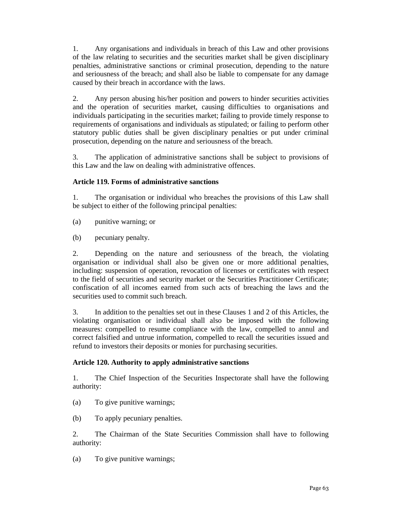1. Any organisations and individuals in breach of this Law and other provisions of the law relating to securities and the securities market shall be given disciplinary penalties, administrative sanctions or criminal prosecution, depending to the nature and seriousness of the breach; and shall also be liable to compensate for any damage caused by their breach in accordance with the laws.

2. Any person abusing his/her position and powers to hinder securities activities and the operation of securities market, causing difficulties to organisations and individuals participating in the securities market; failing to provide timely response to requirements of organisations and individuals as stipulated; or failing to perform other statutory public duties shall be given disciplinary penalties or put under criminal prosecution, depending on the nature and seriousness of the breach.

3. The application of administrative sanctions shall be subject to provisions of this Law and the law on dealing with administrative offences.

# **Article 119. Forms of administrative sanctions**

1. The organisation or individual who breaches the provisions of this Law shall be subject to either of the following principal penalties:

- (a) punitive warning; or
- (b) pecuniary penalty.

2. Depending on the nature and seriousness of the breach, the violating organisation or individual shall also be given one or more additional penalties, including: suspension of operation, revocation of licenses or certificates with respect to the field of securities and security market or the Securities Practitioner Certificate; confiscation of all incomes earned from such acts of breaching the laws and the securities used to commit such breach.

3. In addition to the penalties set out in these Clauses 1 and 2 of this Articles, the violating organisation or individual shall also be imposed with the following measures: compelled to resume compliance with the law, compelled to annul and correct falsified and untrue information, compelled to recall the securities issued and refund to investors their deposits or monies for purchasing securities.

# **Article 120. Authority to apply administrative sanctions**

1. The Chief Inspection of the Securities Inspectorate shall have the following authority:

(a) To give punitive warnings;

(b) To apply pecuniary penalties.

2. The Chairman of the State Securities Commission shall have to following authority:

(a) To give punitive warnings;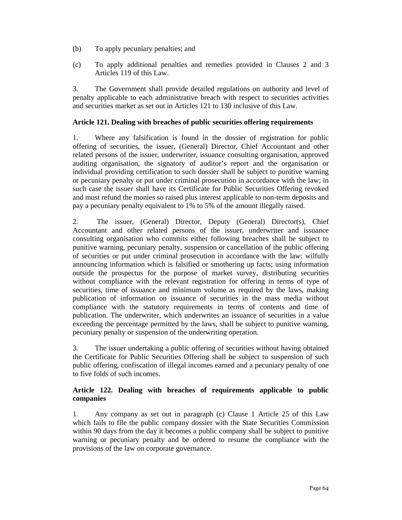- (b) To apply pecuniary penalties; and
- (c) To apply additional penalties and remedies provided in Clauses 2 and 3 Articles 119 of this Law.

3. The Government shall provide detailed regulations on authority and level of penalty applicable to each administrative breach with respect to securities activities and securities market as set out in Articles 121 to 130 inclusive of this Law.

### **Article 121. Dealing with breaches of public securities offering requirements**

1. Where any falsification is found in the dossier of registration for public offering of securities, the issuer, (General) Director, Chief Accountant and other related persons of the issuer, underwriter, issuance consulting organisation, approved auditing organisation, the signatory of auditor's report and the organisation or individual providing certification to such dossier shall be subject to punitive warning or pecuniary penalty or put under criminal prosecution in accordance with the law; in such case the issuer shall have its Certificate for Public Securities Offering revoked and must refund the monies so raised plus interest applicable to non-term deposits and pay a pecuniary penalty equivalent to 1% to 5% of the amount illegally raised.

2. The issuer, (General) Director, Deputy (General) Director(s), Chief Accountant and other related persons of the issuer, underwriter and issuance consulting organisation who commits either following breaches shall be subject to punitive warning, pecuniary penalty, suspension or cancellation of the public offering of securities or put under criminal prosecution in accordance with the law: wilfully announcing information which is falsified or smothering up facts; using information outside the prospectus for the purpose of market survey, distributing securities without compliance with the relevant registration for offering in terms of type of securities, time of issuance and minimum volume as required by the laws, making publication of information on issuance of securities in the mass media without compliance with the statutory requirements in terms of contents and time of publication. The underwriter, which underwrites an issuance of securities in a value exceeding the percentage permitted by the laws, shall be subject to punitive warning, pecuniary penalty or suspension of the underwriting operation.

3. The issuer undertaking a public offering of securities without having obtained the Certificate for Public Securities Offering shall be subject to suspension of such public offering, confiscation of illegal incomes earned and a pecuniary penalty of one to five folds of such incomes.

# **Article 122. Dealing with breaches of requirements applicable to public companies**

1. Any company as set out in paragraph (c) Clause 1 Article 25 of this Law which fails to file the public company dossier with the State Securities Commission within 90 days from the day it becomes a public company shall be subject to punitive warning or pecuniary penalty and be ordered to resume the compliance with the provisions of the law on corporate governance.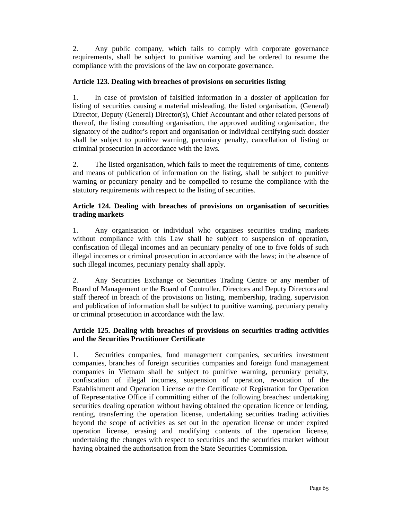2. Any public company, which fails to comply with corporate governance requirements, shall be subject to punitive warning and be ordered to resume the compliance with the provisions of the law on corporate governance.

# **Article 123. Dealing with breaches of provisions on securities listing**

1. In case of provision of falsified information in a dossier of application for listing of securities causing a material misleading, the listed organisation, (General) Director, Deputy (General) Director(s), Chief Accountant and other related persons of thereof, the listing consulting organisation, the approved auditing organisation, the signatory of the auditor's report and organisation or individual certifying such dossier shall be subject to punitive warning, pecuniary penalty, cancellation of listing or criminal prosecution in accordance with the laws.

2. The listed organisation, which fails to meet the requirements of time, contents and means of publication of information on the listing, shall be subject to punitive warning or pecuniary penalty and be compelled to resume the compliance with the statutory requirements with respect to the listing of securities.

# **Article 124. Dealing with breaches of provisions on organisation of securities trading markets**

1. Any organisation or individual who organises securities trading markets without compliance with this Law shall be subject to suspension of operation, confiscation of illegal incomes and an pecuniary penalty of one to five folds of such illegal incomes or criminal prosecution in accordance with the laws; in the absence of such illegal incomes, pecuniary penalty shall apply.

2. Any Securities Exchange or Securities Trading Centre or any member of Board of Management or the Board of Controller, Directors and Deputy Directors and staff thereof in breach of the provisions on listing, membership, trading, supervision and publication of information shall be subject to punitive warning, pecuniary penalty or criminal prosecution in accordance with the law.

# **Article 125. Dealing with breaches of provisions on securities trading activities and the Securities Practitioner Certificate**

1. Securities companies, fund management companies, securities investment companies, branches of foreign securities companies and foreign fund management companies in Vietnam shall be subject to punitive warning, pecuniary penalty, confiscation of illegal incomes, suspension of operation, revocation of the Establishment and Operation License or the Certificate of Registration for Operation of Representative Office if committing either of the following breaches: undertaking securities dealing operation without having obtained the operation licence or lending, renting, transferring the operation license, undertaking securities trading activities beyond the scope of activities as set out in the operation license or under expired operation license, erasing and modifying contents of the operation license, undertaking the changes with respect to securities and the securities market without having obtained the authorisation from the State Securities Commission.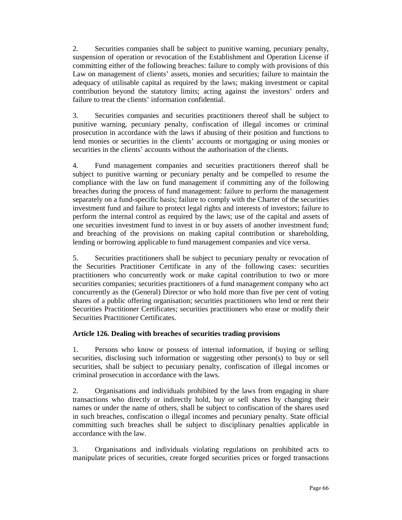2. Securities companies shall be subject to punitive warning, pecuniary penalty, suspension of operation or revocation of the Establishment and Operation License if committing either of the following breaches: failure to comply with provisions of this Law on management of clients' assets, monies and securities; failure to maintain the adequacy of utilisable capital as required by the laws; making investment or capital contribution beyond the statutory limits; acting against the investors' orders and failure to treat the clients' information confidential.

3. Securities companies and securities practitioners thereof shall be subject to punitive warning, pecuniary penalty, confiscation of illegal incomes or criminal prosecution in accordance with the laws if abusing of their position and functions to lend monies or securities in the clients' accounts or mortgaging or using monies or securities in the clients' accounts without the authorisation of the clients.

4. Fund management companies and securities practitioners thereof shall be subject to punitive warning or pecuniary penalty and be compelled to resume the compliance with the law on fund management if committing any of the following breaches during the process of fund management: failure to perform the management separately on a fund-specific basis; failure to comply with the Charter of the securities investment fund and failure to protect legal rights and interests of investors; failure to perform the internal control as required by the laws; use of the capital and assets of one securities investment fund to invest in or buy assets of another investment fund; and breaching of the provisions on making capital contribution or shareholding, lending or borrowing applicable to fund management companies and vice versa.

5. Securities practitioners shall be subject to pecuniary penalty or revocation of the Securities Practitioner Certificate in any of the following cases: securities practitioners who concurrently work or make capital contribution to two or more securities companies; securities practitioners of a fund management company who act concurrently as the (General) Director or who hold more than five per cent of voting shares of a public offering organisation; securities practitioners who lend or rent their Securities Practitioner Certificates; securities practitioners who erase or modify their Securities Practitioner Certificates.

# **Article 126. Dealing with breaches of securities trading provisions**

1. Persons who know or possess of internal information, if buying or selling securities, disclosing such information or suggesting other person(s) to buy or sell securities, shall be subject to pecuniary penalty, confiscation of illegal incomes or criminal prosecution in accordance with the laws.

2. Organisations and individuals prohibited by the laws from engaging in share transactions who directly or indirectly hold, buy or sell shares by changing their names or under the name of others, shall be subject to confiscation of the shares used in such breaches, confiscation o illegal incomes and pecuniary penalty. State official committing such breaches shall be subject to disciplinary penalties applicable in accordance with the law.

3. Organisations and individuals violating regulations on prohibited acts to manipulate prices of securities, create forged securities prices or forged transactions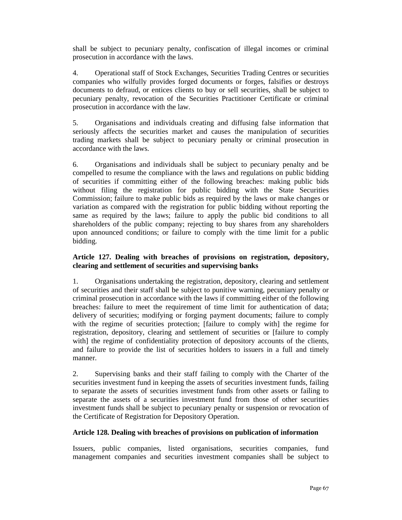shall be subject to pecuniary penalty, confiscation of illegal incomes or criminal prosecution in accordance with the laws.

4. Operational staff of Stock Exchanges, Securities Trading Centres or securities companies who wilfully provides forged documents or forges, falsifies or destroys documents to defraud, or entices clients to buy or sell securities, shall be subject to pecuniary penalty, revocation of the Securities Practitioner Certificate or criminal prosecution in accordance with the law.

5. Organisations and individuals creating and diffusing false information that seriously affects the securities market and causes the manipulation of securities trading markets shall be subject to pecuniary penalty or criminal prosecution in accordance with the laws.

6. Organisations and individuals shall be subject to pecuniary penalty and be compelled to resume the compliance with the laws and regulations on public bidding of securities if committing either of the following breaches: making public bids without filing the registration for public bidding with the State Securities Commission; failure to make public bids as required by the laws or make changes or variation as compared with the registration for public bidding without reporting the same as required by the laws; failure to apply the public bid conditions to all shareholders of the public company; rejecting to buy shares from any shareholders upon announced conditions; or failure to comply with the time limit for a public bidding.

# **Article 127. Dealing with breaches of provisions on registration, depository, clearing and settlement of securities and supervising banks**

1. Organisations undertaking the registration, depository, clearing and settlement of securities and their staff shall be subject to punitive warning, pecuniary penalty or criminal prosecution in accordance with the laws if committing either of the following breaches: failure to meet the requirement of time limit for authentication of data; delivery of securities; modifying or forging payment documents; failure to comply with the regime of securities protection; [failure to comply with] the regime for registration, depository, clearing and settlement of securities or [failure to comply with] the regime of confidentiality protection of depository accounts of the clients, and failure to provide the list of securities holders to issuers in a full and timely manner.

2. Supervising banks and their staff failing to comply with the Charter of the securities investment fund in keeping the assets of securities investment funds, failing to separate the assets of securities investment funds from other assets or failing to separate the assets of a securities investment fund from those of other securities investment funds shall be subject to pecuniary penalty or suspension or revocation of the Certificate of Registration for Depository Operation.

# **Article 128. Dealing with breaches of provisions on publication of information**

Issuers, public companies, listed organisations, securities companies, fund management companies and securities investment companies shall be subject to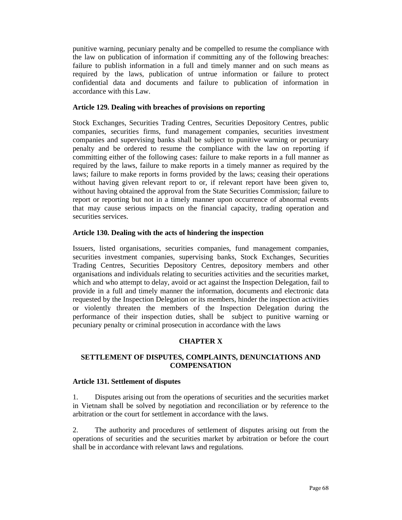punitive warning, pecuniary penalty and be compelled to resume the compliance with the law on publication of information if committing any of the following breaches: failure to publish information in a full and timely manner and on such means as required by the laws, publication of untrue information or failure to protect confidential data and documents and failure to publication of information in accordance with this Law.

#### **Article 129. Dealing with breaches of provisions on reporting**

Stock Exchanges, Securities Trading Centres, Securities Depository Centres, public companies, securities firms, fund management companies, securities investment companies and supervising banks shall be subject to punitive warning or pecuniary penalty and be ordered to resume the compliance with the law on reporting if committing either of the following cases: failure to make reports in a full manner as required by the laws, failure to make reports in a timely manner as required by the laws; failure to make reports in forms provided by the laws; ceasing their operations without having given relevant report to or, if relevant report have been given to, without having obtained the approval from the State Securities Commission; failure to report or reporting but not in a timely manner upon occurrence of abnormal events that may cause serious impacts on the financial capacity, trading operation and securities services.

### **Article 130. Dealing with the acts of hindering the inspection**

Issuers, listed organisations, securities companies, fund management companies, securities investment companies, supervising banks, Stock Exchanges, Securities Trading Centres, Securities Depository Centres, depository members and other organisations and individuals relating to securities activities and the securities market, which and who attempt to delay, avoid or act against the Inspection Delegation, fail to provide in a full and timely manner the information, documents and electronic data requested by the Inspection Delegation or its members, hinder the inspection activities or violently threaten the members of the Inspection Delegation during the performance of their inspection duties, shall be subject to punitive warning or pecuniary penalty or criminal prosecution in accordance with the laws

# **CHAPTER X**

### **SETTLEMENT OF DISPUTES, COMPLAINTS, DENUNCIATIONS AND COMPENSATION**

### **Article 131. Settlement of disputes**

1. Disputes arising out from the operations of securities and the securities market in Vietnam shall be solved by negotiation and reconciliation or by reference to the arbitration or the court for settlement in accordance with the laws.

2. The authority and procedures of settlement of disputes arising out from the operations of securities and the securities market by arbitration or before the court shall be in accordance with relevant laws and regulations.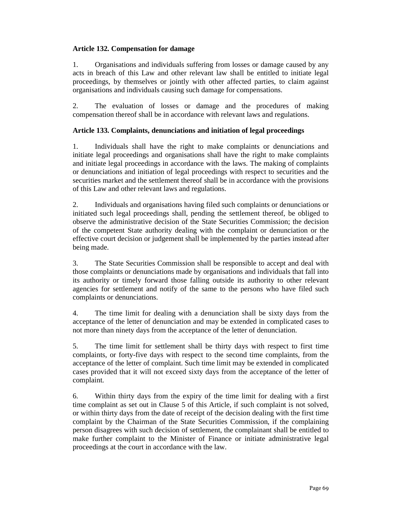# **Article 132. Compensation for damage**

1. Organisations and individuals suffering from losses or damage caused by any acts in breach of this Law and other relevant law shall be entitled to initiate legal proceedings, by themselves or jointly with other affected parties, to claim against organisations and individuals causing such damage for compensations.

2. The evaluation of losses or damage and the procedures of making compensation thereof shall be in accordance with relevant laws and regulations.

### **Article 133. Complaints, denunciations and initiation of legal proceedings**

1. Individuals shall have the right to make complaints or denunciations and initiate legal proceedings and organisations shall have the right to make complaints and initiate legal proceedings in accordance with the laws. The making of complaints or denunciations and initiation of legal proceedings with respect to securities and the securities market and the settlement thereof shall be in accordance with the provisions of this Law and other relevant laws and regulations.

2. Individuals and organisations having filed such complaints or denunciations or initiated such legal proceedings shall, pending the settlement thereof, be obliged to observe the administrative decision of the State Securities Commission; the decision of the competent State authority dealing with the complaint or denunciation or the effective court decision or judgement shall be implemented by the parties instead after being made.

3. The State Securities Commission shall be responsible to accept and deal with those complaints or denunciations made by organisations and individuals that fall into its authority or timely forward those falling outside its authority to other relevant agencies for settlement and notify of the same to the persons who have filed such complaints or denunciations.

4. The time limit for dealing with a denunciation shall be sixty days from the acceptance of the letter of denunciation and may be extended in complicated cases to not more than ninety days from the acceptance of the letter of denunciation.

5. The time limit for settlement shall be thirty days with respect to first time complaints, or forty-five days with respect to the second time complaints, from the acceptance of the letter of complaint. Such time limit may be extended in complicated cases provided that it will not exceed sixty days from the acceptance of the letter of complaint.

6. Within thirty days from the expiry of the time limit for dealing with a first time complaint as set out in Clause 5 of this Article, if such complaint is not solved, or within thirty days from the date of receipt of the decision dealing with the first time complaint by the Chairman of the State Securities Commission, if the complaining person disagrees with such decision of settlement, the complainant shall be entitled to make further complaint to the Minister of Finance or initiate administrative legal proceedings at the court in accordance with the law.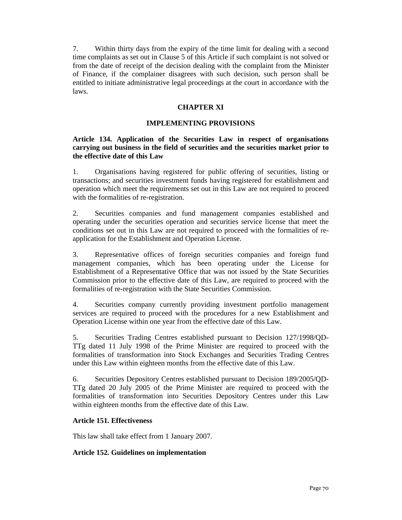7. Within thirty days from the expiry of the time limit for dealing with a second time complaints as set out in Clause 5 of this Article if such complaint is not solved or from the date of receipt of the decision dealing with the complaint from the Minister of Finance, if the complainer disagrees with such decision, such person shall be entitled to initiate administrative legal proceedings at the court in accordance with the laws.

### **CHAPTER XI**

#### **IMPLEMENTING PROVISIONS**

### **Article 134. Application of the Securities Law in respect of organisations carrying out business in the field of securities and the securities market prior to the effective date of this Law**

1. Organisations having registered for public offering of securities, listing or transactions; and securities investment funds having registered for establishment and operation which meet the requirements set out in this Law are not required to proceed with the formalities of re-registration.

2. Securities companies and fund management companies established and operating under the securities operation and securities service license that meet the conditions set out in this Law are not required to proceed with the formalities of reapplication for the Establishment and Operation License.

3. Representative offices of foreign securities companies and foreign fund management companies, which has been operating under the License for Establishment of a Representative Office that was not issued by the State Securities Commission prior to the effective date of this Law, are required to proceed with the formalities of re-registration with the State Securities Commission.

4. Securities company currently providing investment portfolio management services are required to proceed with the procedures for a new Establishment and Operation License within one year from the effective date of this Law.

5. Securities Trading Centres established pursuant to Decision 127/1998/QD-TTg dated 11 July 1998 of the Prime Minister are required to proceed with the formalities of transformation into Stock Exchanges and Securities Trading Centres under this Law within eighteen months from the effective date of this Law.

6. Securities Depository Centres established pursuant to Decision 189/2005/QD-TTg dated 20 July 2005 of the Prime Minister are required to proceed with the formalities of transformation into Securities Depository Centres under this Law within eighteen months from the effective date of this Law.

### **Article 151. Effectiveness**

This law shall take effect from 1 January 2007.

### **Article 152. Guidelines on implementation**